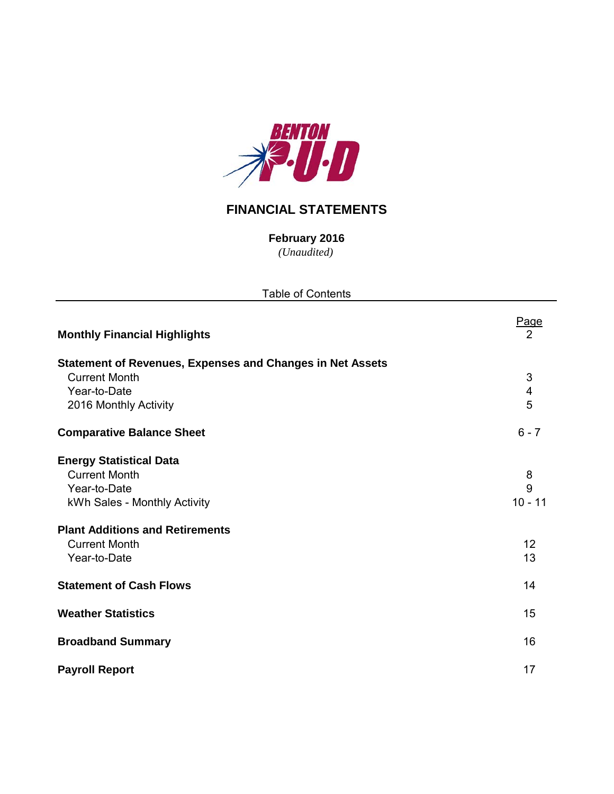

# **FINANCIAL STATEMENTS**

*(Unaudited)* **February 2016**

| <b>Table of Contents</b>                                         |                           |
|------------------------------------------------------------------|---------------------------|
| <b>Monthly Financial Highlights</b>                              | Page<br>2                 |
| <b>Statement of Revenues, Expenses and Changes in Net Assets</b> |                           |
| <b>Current Month</b>                                             | $\ensuremath{\mathsf{3}}$ |
| Year-to-Date                                                     | $\overline{\mathbf{4}}$   |
| 2016 Monthly Activity                                            | 5                         |
| <b>Comparative Balance Sheet</b>                                 | $6 - 7$                   |
| <b>Energy Statistical Data</b>                                   |                           |
| <b>Current Month</b>                                             | 8                         |
| Year-to-Date                                                     | 9                         |
| kWh Sales - Monthly Activity                                     | $10 - 11$                 |
| <b>Plant Additions and Retirements</b>                           |                           |
| <b>Current Month</b>                                             | 12                        |
| Year-to-Date                                                     | 13                        |
| <b>Statement of Cash Flows</b>                                   | 14                        |
| <b>Weather Statistics</b>                                        | 15                        |
| <b>Broadband Summary</b>                                         | 16                        |
| <b>Payroll Report</b>                                            | 17                        |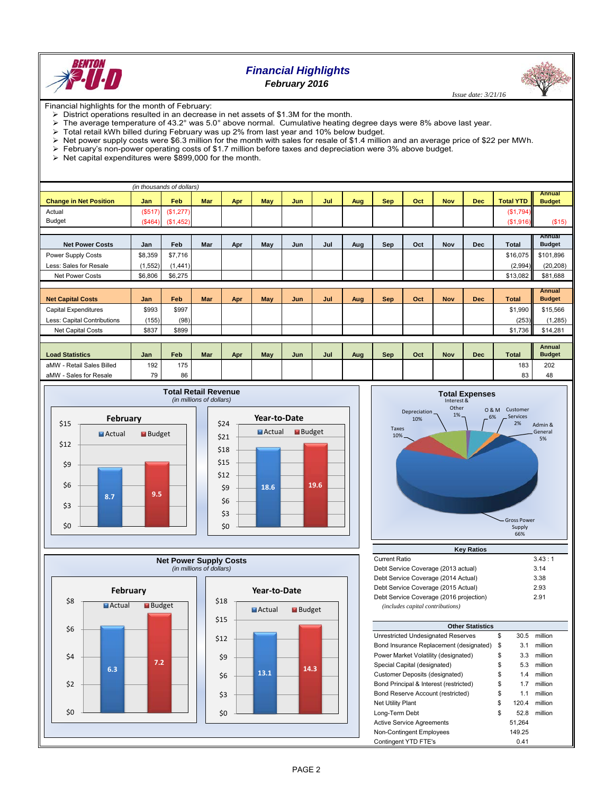

# *Financial Highlights*

*February 2016*

 *Issue date: 3/21/16*

Financial highlights for the month of February:

- > District operations resulted in an decrease in net assets of \$1.3M for the month.
- The average temperature of 43.2° was 5.0° above normal. Cumulative heating degree days were 8% above last year.<br>> Total retail kWh billed during February was up 2% from last year and 10% below budget
- Total retail kWh billed during February was up 2% from last year and 10% below budget.
- $\triangleright$  Net power supply costs were \$6.3 million for the month with sales for resale of \$1.4 million and an average price of \$22 per MWh.
- February's non-power operating costs of \$1.7 million before taxes and depreciation were 3% above budget.
- $\triangleright$  Net capital expenditures were \$899,000 for the month.

|                               |          | (in thousands of dollars) |            |     |            |     |     |     |            |     |            |            |                  |                                |
|-------------------------------|----------|---------------------------|------------|-----|------------|-----|-----|-----|------------|-----|------------|------------|------------------|--------------------------------|
| <b>Change in Net Position</b> | Jan      | Feb                       | <b>Mar</b> | Apr | <b>May</b> | Jun | Jul | Aug | <b>Sep</b> | Oct | <b>Nov</b> | <b>Dec</b> | <b>Total YTD</b> | <b>Annual</b><br><b>Budget</b> |
| Actual                        | (S517)   | (\$1,277)                 |            |     |            |     |     |     |            |     |            |            | ( \$1,794)       |                                |
| <b>Budget</b>                 |          | $($464)$ $($1,452)$       |            |     |            |     |     |     |            |     |            |            | (\$1,916)        | (\$15)                         |
|                               |          |                           |            |     |            |     |     |     |            |     |            |            |                  |                                |
| <b>Net Power Costs</b>        | Jan      | Feb                       | Mar        | Apr | May        | Jun | Jul | Aug | Sep        | Oct | Nov        | <b>Dec</b> | Total            | Annual<br><b>Budget</b>        |
| Power Supply Costs            | \$8,359  | \$7,716                   |            |     |            |     |     |     |            |     |            |            | \$16,075         | \$101,896                      |
| Less: Sales for Resale        | (1, 552) | (1,441)                   |            |     |            |     |     |     |            |     |            |            | (2,994)          | (20, 208)                      |
| <b>Net Power Costs</b>        | \$6,806  | \$6,275                   |            |     |            |     |     |     |            |     |            |            | \$13,082         | \$81,688                       |
|                               |          |                           |            |     |            |     |     |     |            |     |            |            |                  |                                |
| <b>Net Capital Costs</b>      | Jan      | Feb                       | Mar        | Apr | May        | Jun | Jul | Aug | <b>Sep</b> | Oct | <b>Nov</b> | <b>Dec</b> | <b>Total</b>     | <b>Annual</b><br><b>Budget</b> |
| <b>Capital Expenditures</b>   | \$993    | \$997                     |            |     |            |     |     |     |            |     |            |            | \$1,990          | \$15,566                       |
| Less: Capital Contributions   | (155)    | (98)                      |            |     |            |     |     |     |            |     |            |            | (253)            | (1, 285)                       |
| Net Capital Costs             | \$837    | \$899                     |            |     |            |     |     |     |            |     |            |            | \$1,736          | \$14,281                       |
|                               |          |                           |            |     |            |     |     |     |            |     |            |            |                  |                                |
| <b>Load Statistics</b>        | Jan      | Feb                       | Mar        | Apr | May        | Jun | Jul | Aug | Sep        | Oct | <b>Nov</b> | <b>Dec</b> | <b>Total</b>     | Annual<br><b>Budget</b>        |
| aMW - Retail Sales Billed     | 192      | 175                       |            |     |            |     |     |     |            |     |            |            | 183              | 202                            |
| aMW - Sales for Resale        | 79       | 86                        |            |     |            |     |     |     |            |     |            |            | 83               | 48                             |









| <b>Current Ratio</b>                    | 3.43:1 |
|-----------------------------------------|--------|
| Debt Service Coverage (2013 actual)     | 3.14   |
| Debt Service Coverage (2014 Actual)     | 3.38   |
| Debt Service Coverage (2015 Actual)     | 2.93   |
| Debt Service Coverage (2016 projection) | 2.91   |
| (includes capital contributions)        |        |

| <b>Other Statistics</b>                 |             |         |
|-----------------------------------------|-------------|---------|
| Unrestricted Undesignated Reserves      | \$<br>30.5  | million |
| Bond Insurance Replacement (designated) | \$<br>3.1   | million |
| Power Market Volatility (designated)    | \$<br>3.3   | million |
| Special Capital (designated)            | \$<br>5.3   | million |
| Customer Deposits (designated)          | \$<br>1.4   | million |
| Bond Principal & Interest (restricted)  | \$<br>1.7   | million |
| Bond Reserve Account (restricted)       | \$<br>1.1   | million |
| <b>Net Utility Plant</b>                | \$<br>120.4 | million |
| Long-Term Debt                          | \$<br>52.8  | million |
| <b>Active Service Agreements</b>        | 51.264      |         |
| Non-Contingent Employees                | 149.25      |         |
| Contingent YTD FTE's                    | 0.41        |         |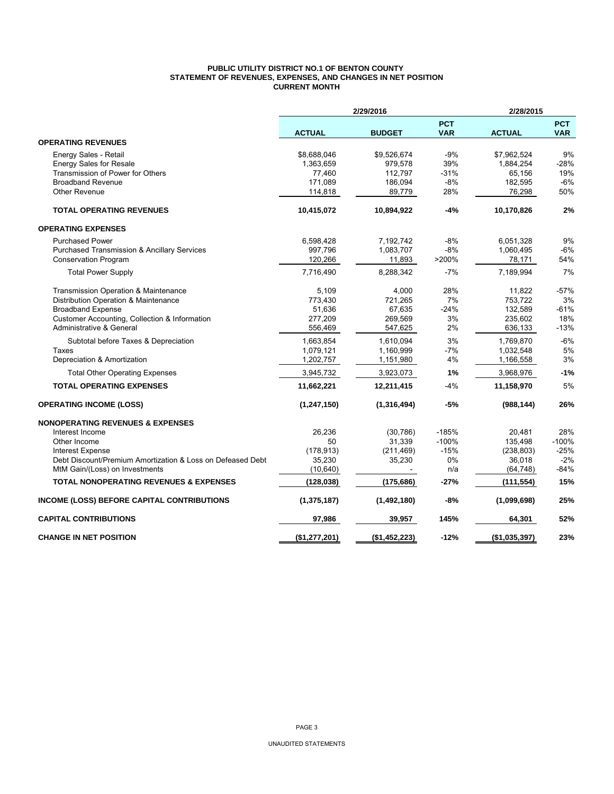### **PUBLIC UTILITY DISTRICT NO.1 OF BENTON COUNTY STATEMENT OF REVENUES, EXPENSES, AND CHANGES IN NET POSITION CURRENT MONTH**

|                                                            | 2/29/2016     | 2/28/2015     |                          |               |                          |
|------------------------------------------------------------|---------------|---------------|--------------------------|---------------|--------------------------|
|                                                            | <b>ACTUAL</b> | <b>BUDGET</b> | <b>PCT</b><br><b>VAR</b> | <b>ACTUAL</b> | <b>PCT</b><br><b>VAR</b> |
| <b>OPERATING REVENUES</b>                                  |               |               |                          |               |                          |
| Energy Sales - Retail                                      | \$8,688,046   | \$9,526,674   | $-9%$                    | \$7,962,524   | 9%                       |
| <b>Energy Sales for Resale</b>                             | 1,363,659     | 979,578       | 39%                      | 1,884,254     | $-28%$                   |
| Transmission of Power for Others                           | 77,460        | 112,797       | $-31%$                   | 65,156        | 19%                      |
| <b>Broadband Revenue</b>                                   | 171,089       | 186,094       | $-8%$                    | 182,595       | $-6%$                    |
| <b>Other Revenue</b>                                       | 114,818       | 89,779        | 28%                      | 76,298        | 50%                      |
| <b>TOTAL OPERATING REVENUES</b>                            | 10,415,072    | 10,894,922    | $-4%$                    | 10,170,826    | 2%                       |
| <b>OPERATING EXPENSES</b>                                  |               |               |                          |               |                          |
| <b>Purchased Power</b>                                     | 6,598,428     | 7,192,742     | -8%                      | 6,051,328     | 9%                       |
| Purchased Transmission & Ancillary Services                | 997,796       | 1,083,707     | $-8%$                    | 1,060,495     | -6%                      |
| <b>Conservation Program</b>                                | 120,266       | 11,893        | >200%                    | 78,171        | 54%                      |
| <b>Total Power Supply</b>                                  | 7,716,490     | 8,288,342     | $-7%$                    | 7,189,994     | 7%                       |
| Transmission Operation & Maintenance                       | 5,109         | 4,000         | 28%                      | 11,822        | $-57%$                   |
| Distribution Operation & Maintenance                       | 773,430       | 721,265       | 7%                       | 753,722       | 3%                       |
| <b>Broadband Expense</b>                                   | 51,636        | 67,635        | $-24%$                   | 132,589       | $-61%$                   |
| Customer Accounting, Collection & Information              | 277,209       | 269,569       | 3%                       | 235,602       | 18%                      |
| Administrative & General                                   | 556,469       | 547,625       | 2%                       | 636,133       | $-13%$                   |
| Subtotal before Taxes & Depreciation                       | 1,663,854     | 1,610,094     | 3%                       | 1,769,870     | $-6%$                    |
| Taxes                                                      | 1,079,121     | 1,160,999     | $-7%$                    | 1,032,548     | 5%                       |
| Depreciation & Amortization                                | 1,202,757     | 1,151,980     | 4%                       | 1,166,558     | 3%                       |
| <b>Total Other Operating Expenses</b>                      | 3,945,732     | 3,923,073     | 1%                       | 3,968,976     | $-1%$                    |
| <b>TOTAL OPERATING EXPENSES</b>                            | 11,662,221    | 12,211,415    | $-4%$                    | 11,158,970    | 5%                       |
| <b>OPERATING INCOME (LOSS)</b>                             | (1, 247, 150) | (1, 316, 494) | -5%                      | (988, 144)    | 26%                      |
| <b>NONOPERATING REVENUES &amp; EXPENSES</b>                |               |               |                          |               |                          |
| Interest Income                                            | 26.236        | (30, 786)     | $-185%$                  | 20.481        | 28%                      |
| Other Income                                               | 50            | 31,339        | $-100%$                  | 135,498       | $-100%$                  |
| <b>Interest Expense</b>                                    | (178, 913)    | (211, 469)    | $-15%$                   | (238, 803)    | $-25%$                   |
| Debt Discount/Premium Amortization & Loss on Defeased Debt | 35,230        | 35,230        | 0%                       | 36.018        | $-2%$                    |
| MtM Gain/(Loss) on Investments                             | (10, 640)     |               | n/a                      | (64,748)      | $-84%$                   |
| <b>TOTAL NONOPERATING REVENUES &amp; EXPENSES</b>          | (128,038)     | (175, 686)    | $-27%$                   | (111, 554)    | 15%                      |
| <b>INCOME (LOSS) BEFORE CAPITAL CONTRIBUTIONS</b>          | (1, 375, 187) | (1,492,180)   | $-8%$                    | (1,099,698)   | 25%                      |
| <b>CAPITAL CONTRIBUTIONS</b>                               | 97,986        | 39,957        | 145%                     | 64,301        | 52%                      |
| <b>CHANGE IN NET POSITION</b>                              | (\$1,277,201) | (\$1,452,223) | $-12%$                   | (\$1,035,397) | 23%                      |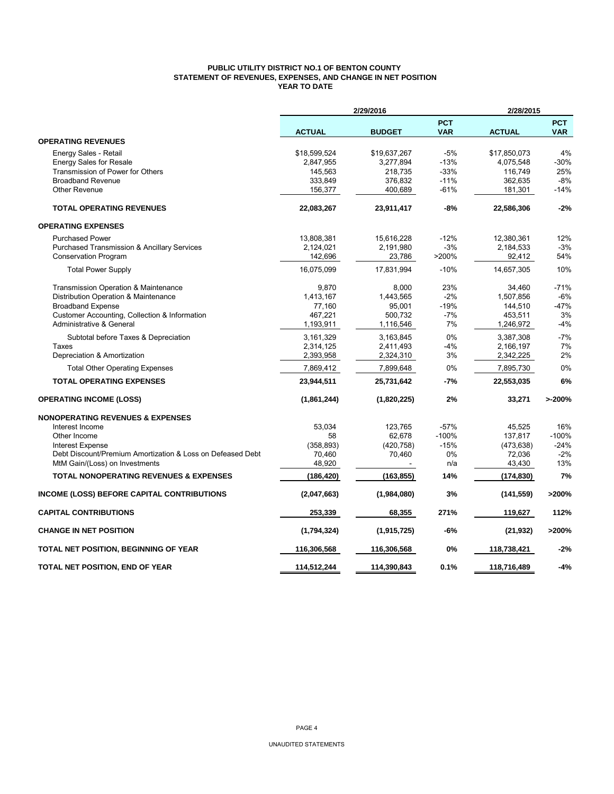## **PUBLIC UTILITY DISTRICT NO.1 OF BENTON COUNTY STATEMENT OF REVENUES, EXPENSES, AND CHANGE IN NET POSITION YEAR TO DATE**

|                                                            | 2/29/2016     | 2/28/2015     |                          |               |                          |
|------------------------------------------------------------|---------------|---------------|--------------------------|---------------|--------------------------|
|                                                            | <b>ACTUAL</b> | <b>BUDGET</b> | <b>PCT</b><br><b>VAR</b> | <b>ACTUAL</b> | <b>PCT</b><br><b>VAR</b> |
| <b>OPERATING REVENUES</b>                                  |               |               |                          |               |                          |
| Energy Sales - Retail                                      | \$18,599,524  | \$19,637,267  | -5%                      | \$17,850,073  | 4%                       |
| <b>Energy Sales for Resale</b>                             | 2,847,955     | 3,277,894     | $-13%$                   | 4,075,548     | $-30%$                   |
| Transmission of Power for Others                           | 145,563       | 218,735       | $-33%$                   | 116,749       | 25%                      |
| <b>Broadband Revenue</b>                                   | 333,849       | 376,832       | $-11%$                   | 362,635       | $-8%$                    |
| <b>Other Revenue</b>                                       | 156,377       | 400,689       | $-61%$                   | 181,301       | $-14%$                   |
| <b>TOTAL OPERATING REVENUES</b>                            | 22,083,267    | 23,911,417    | $-8%$                    | 22,586,306    | $-2%$                    |
| <b>OPERATING EXPENSES</b>                                  |               |               |                          |               |                          |
| <b>Purchased Power</b>                                     | 13,808,381    | 15,616,228    | $-12%$                   | 12,380,361    | 12%                      |
| <b>Purchased Transmission &amp; Ancillary Services</b>     | 2,124,021     | 2,191,980     | $-3%$                    | 2,184,533     | $-3%$                    |
| <b>Conservation Program</b>                                | 142,696       | 23,786        | >200%                    | 92,412        | 54%                      |
| <b>Total Power Supply</b>                                  | 16,075,099    | 17,831,994    | $-10%$                   | 14,657,305    | 10%                      |
| Transmission Operation & Maintenance                       | 9,870         | 8,000         | 23%                      | 34,460        | $-71%$                   |
| Distribution Operation & Maintenance                       | 1,413,167     | 1,443,565     | $-2%$                    | 1,507,856     | $-6%$                    |
| <b>Broadband Expense</b>                                   | 77,160        | 95,001        | $-19%$                   | 144,510       | $-47%$                   |
| Customer Accounting, Collection & Information              | 467,221       | 500,732       | $-7%$                    | 453,511       | 3%                       |
| Administrative & General                                   | 1,193,911     | 1,116,546     | 7%                       | 1,246,972     | $-4%$                    |
| Subtotal before Taxes & Depreciation                       | 3,161,329     | 3,163,845     | 0%                       | 3,387,308     | $-7%$                    |
| Taxes                                                      | 2,314,125     | 2,411,493     | $-4%$                    | 2,166,197     | 7%                       |
| Depreciation & Amortization                                | 2,393,958     | 2,324,310     | 3%                       | 2,342,225     | 2%                       |
| <b>Total Other Operating Expenses</b>                      | 7,869,412     | 7,899,648     | 0%                       | 7,895,730     | 0%                       |
| <b>TOTAL OPERATING EXPENSES</b>                            | 23,944,511    | 25,731,642    | $-7%$                    | 22,553,035    | 6%                       |
| <b>OPERATING INCOME (LOSS)</b>                             | (1,861,244)   | (1,820,225)   | 2%                       | 33,271        | >200%                    |
| <b>NONOPERATING REVENUES &amp; EXPENSES</b>                |               |               |                          |               |                          |
| Interest Income                                            | 53,034        | 123,765       | $-57%$                   | 45,525        | 16%                      |
| Other Income                                               | 58            | 62,678        | $-100%$                  | 137,817       | $-100%$                  |
| <b>Interest Expense</b>                                    | (358, 893)    | (420, 758)    | $-15%$                   | (473, 638)    | $-24%$                   |
| Debt Discount/Premium Amortization & Loss on Defeased Debt | 70,460        | 70,460        | 0%                       | 72,036        | $-2%$                    |
| MtM Gain/(Loss) on Investments                             | 48,920        |               | n/a                      | 43,430        | 13%                      |
| <b>TOTAL NONOPERATING REVENUES &amp; EXPENSES</b>          | (186, 420)    | (163, 855)    | 14%                      | (174,830)     | 7%                       |
| INCOME (LOSS) BEFORE CAPITAL CONTRIBUTIONS                 | (2,047,663)   | (1,984,080)   | 3%                       | (141, 559)    | >200%                    |
| <b>CAPITAL CONTRIBUTIONS</b>                               | 253,339       | 68,355        | 271%                     | 119,627       | 112%                     |
| <b>CHANGE IN NET POSITION</b>                              | (1,794,324)   | (1, 915, 725) | -6%                      | (21, 932)     | >200%                    |
| TOTAL NET POSITION, BEGINNING OF YEAR                      | 116,306,568   | 116,306,568   | 0%                       | 118,738,421   | $-2%$                    |
| TOTAL NET POSITION, END OF YEAR                            | 114,512,244   | 114.390.843   | 0.1%                     | 118,716,489   | $-4%$                    |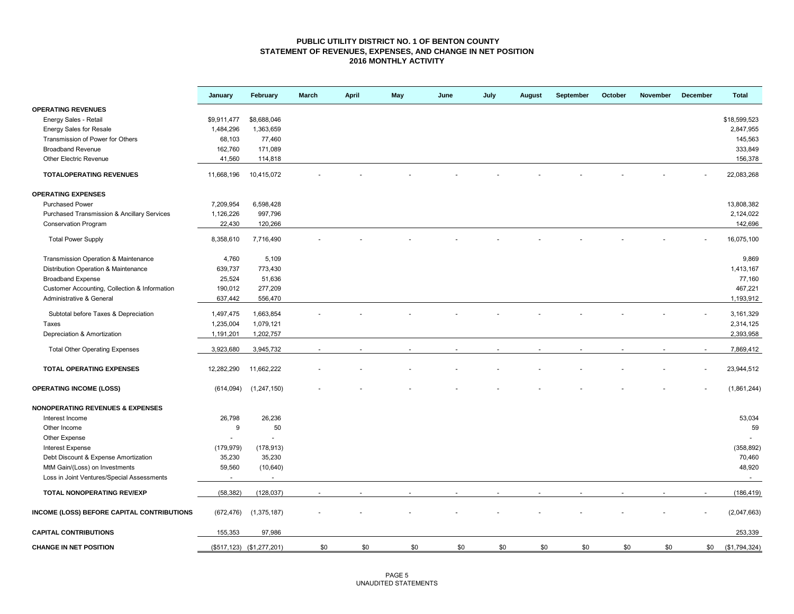### **PUBLIC UTILITY DISTRICT NO. 1 OF BENTON COUNTY STATEMENT OF REVENUES, EXPENSES, AND CHANGE IN NET POSITION 2016 MONTHLY ACTIVITY**

|                                                        | January     | February                  | March | <b>April</b> | May | June | July | August | September | October | November | December | <b>Total</b>  |
|--------------------------------------------------------|-------------|---------------------------|-------|--------------|-----|------|------|--------|-----------|---------|----------|----------|---------------|
| <b>OPERATING REVENUES</b>                              |             |                           |       |              |     |      |      |        |           |         |          |          |               |
| Energy Sales - Retail                                  | \$9,911,477 | \$8,688,046               |       |              |     |      |      |        |           |         |          |          | \$18,599,523  |
| <b>Energy Sales for Resale</b>                         | 1,484,296   | 1,363,659                 |       |              |     |      |      |        |           |         |          |          | 2,847,955     |
| Transmission of Power for Others                       | 68,103      | 77,460                    |       |              |     |      |      |        |           |         |          |          | 145,563       |
| <b>Broadband Revenue</b>                               | 162,760     | 171,089                   |       |              |     |      |      |        |           |         |          |          | 333,849       |
| Other Electric Revenue                                 | 41,560      | 114,818                   |       |              |     |      |      |        |           |         |          |          | 156,378       |
| <b>TOTALOPERATING REVENUES</b>                         | 11,668,196  | 10,415,072                |       |              |     |      |      |        |           |         |          |          | 22,083,268    |
| <b>OPERATING EXPENSES</b>                              |             |                           |       |              |     |      |      |        |           |         |          |          |               |
| <b>Purchased Power</b>                                 | 7,209,954   | 6,598,428                 |       |              |     |      |      |        |           |         |          |          | 13,808,382    |
| <b>Purchased Transmission &amp; Ancillary Services</b> | 1,126,226   | 997,796                   |       |              |     |      |      |        |           |         |          |          | 2,124,022     |
| <b>Conservation Program</b>                            | 22,430      | 120,266                   |       |              |     |      |      |        |           |         |          |          | 142,696       |
| <b>Total Power Supply</b>                              | 8,358,610   | 7,716,490                 |       |              |     |      |      |        |           |         |          |          | 16,075,100    |
| Transmission Operation & Maintenance                   | 4,760       | 5,109                     |       |              |     |      |      |        |           |         |          |          | 9,869         |
| Distribution Operation & Maintenance                   | 639,737     | 773,430                   |       |              |     |      |      |        |           |         |          |          | 1,413,167     |
| <b>Broadband Expense</b>                               | 25,524      | 51,636                    |       |              |     |      |      |        |           |         |          |          | 77,160        |
| Customer Accounting, Collection & Information          | 190,012     | 277,209                   |       |              |     |      |      |        |           |         |          |          | 467,221       |
| Administrative & General                               | 637,442     | 556,470                   |       |              |     |      |      |        |           |         |          |          | 1,193,912     |
| Subtotal before Taxes & Depreciation                   | 1,497,475   | 1,663,854                 |       |              |     |      |      |        |           |         |          |          | 3, 161, 329   |
| Taxes                                                  | 1,235,004   | 1,079,121                 |       |              |     |      |      |        |           |         |          |          | 2,314,125     |
| Depreciation & Amortization                            | 1,191,201   | 1,202,757                 |       |              |     |      |      |        |           |         |          |          | 2,393,958     |
| <b>Total Other Operating Expenses</b>                  | 3,923,680   | 3,945,732                 |       |              |     |      |      |        |           |         |          |          | 7,869,412     |
| <b>TOTAL OPERATING EXPENSES</b>                        | 12,282,290  | 11,662,222                |       |              |     |      |      |        |           |         |          |          | 23,944,512    |
|                                                        |             |                           |       |              |     |      |      |        |           |         |          |          |               |
| <b>OPERATING INCOME (LOSS)</b>                         | (614, 094)  | (1, 247, 150)             |       |              |     |      |      |        |           |         |          |          | (1,861,244)   |
| <b>NONOPERATING REVENUES &amp; EXPENSES</b>            |             |                           |       |              |     |      |      |        |           |         |          |          |               |
| Interest Income                                        | 26,798      | 26,236                    |       |              |     |      |      |        |           |         |          |          | 53,034        |
| Other Income                                           | 9           | 50                        |       |              |     |      |      |        |           |         |          |          | 59            |
| Other Expense                                          |             | $\overline{\phantom{a}}$  |       |              |     |      |      |        |           |         |          |          |               |
| Interest Expense                                       | (179, 979)  | (178, 913)                |       |              |     |      |      |        |           |         |          |          | (358, 892)    |
| Debt Discount & Expense Amortization                   | 35,230      | 35,230                    |       |              |     |      |      |        |           |         |          |          | 70,460        |
| MtM Gain/(Loss) on Investments                         | 59,560      | (10, 640)                 |       |              |     |      |      |        |           |         |          |          | 48,920        |
| Loss in Joint Ventures/Special Assessments             | $\sim$      | $\omega$                  |       |              |     |      |      |        |           |         |          |          | $\sim$        |
| TOTAL NONOPERATING REV/EXP                             | (58, 382)   | (128, 037)                |       |              |     |      |      |        |           |         |          |          | (186, 419)    |
| INCOME (LOSS) BEFORE CAPITAL CONTRIBUTIONS             | (672, 476)  | (1, 375, 187)             |       |              |     |      |      |        |           |         |          |          | (2,047,663)   |
| <b>CAPITAL CONTRIBUTIONS</b>                           | 155,353     | 97,986                    |       |              |     |      |      |        |           |         |          |          | 253,339       |
| <b>CHANGE IN NET POSITION</b>                          |             | (\$517,123) (\$1,277,201) | \$0   | \$0          | \$0 | \$0  | \$0  | \$0    | \$0       | \$0     | \$0      | \$0      | (\$1,794,324) |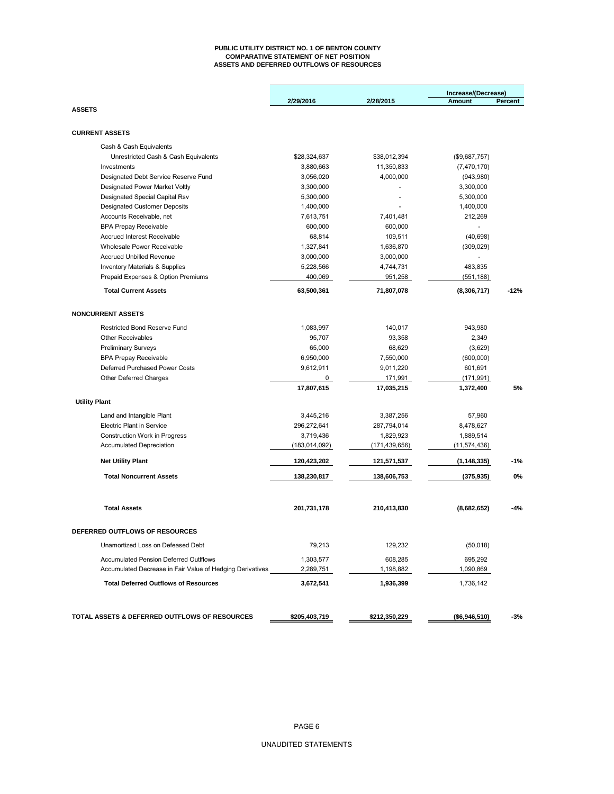#### **PUBLIC UTILITY DISTRICT NO. 1 OF BENTON COUNTY COMPARATIVE STATEMENT OF NET POSITION ASSETS AND DEFERRED OUTFLOWS OF RESOURCES**

|                                                           |                 |                 | Increase/(Decrease) |         |
|-----------------------------------------------------------|-----------------|-----------------|---------------------|---------|
|                                                           | 2/29/2016       | 2/28/2015       | Amount              | Percent |
| <b>ASSETS</b>                                             |                 |                 |                     |         |
| <b>CURRENT ASSETS</b>                                     |                 |                 |                     |         |
| Cash & Cash Equivalents                                   |                 |                 |                     |         |
| Unrestricted Cash & Cash Equivalents                      | \$28,324,637    | \$38,012,394    | (\$9,687,757)       |         |
| Investments                                               | 3,880,663       | 11,350,833      | (7,470,170)         |         |
| Designated Debt Service Reserve Fund                      | 3,056,020       | 4,000,000       | (943,980)           |         |
| Designated Power Market Voltly                            | 3,300,000       |                 | 3,300,000           |         |
| Designated Special Capital Rsv                            | 5,300,000       |                 | 5,300,000           |         |
| <b>Designated Customer Deposits</b>                       | 1,400,000       |                 | 1,400,000           |         |
| Accounts Receivable, net                                  | 7,613,751       | 7,401,481       | 212,269             |         |
| <b>BPA Prepay Receivable</b>                              | 600,000         | 600,000         |                     |         |
| <b>Accrued Interest Receivable</b>                        | 68,814          | 109,511         | (40, 698)           |         |
| Wholesale Power Receivable                                | 1,327,841       | 1,636,870       | (309, 029)          |         |
| <b>Accrued Unbilled Revenue</b>                           | 3,000,000       | 3,000,000       |                     |         |
| <b>Inventory Materials &amp; Supplies</b>                 | 5,228,566       | 4,744,731       | 483,835             |         |
| Prepaid Expenses & Option Premiums                        | 400,069         | 951,258         | (551, 188)          |         |
| <b>Total Current Assets</b>                               | 63,500,361      | 71,807,078      | (8,306,717)         | $-12%$  |
| <b>NONCURRENT ASSETS</b>                                  |                 |                 |                     |         |
| Restricted Bond Reserve Fund                              | 1,083,997       | 140,017         | 943,980             |         |
| <b>Other Receivables</b>                                  | 95,707          | 93,358          | 2,349               |         |
| <b>Preliminary Surveys</b>                                | 65,000          | 68,629          | (3,629)             |         |
| <b>BPA Prepay Receivable</b>                              | 6,950,000       | 7,550,000       | (600,000)           |         |
| Deferred Purchased Power Costs                            | 9,612,911       | 9,011,220       | 601,691             |         |
| Other Deferred Charges                                    | 0               | 171,991         | (171, 991)          |         |
|                                                           | 17,807,615      | 17,035,215      | 1,372,400           | 5%      |
| <b>Utility Plant</b>                                      |                 |                 |                     |         |
| Land and Intangible Plant                                 | 3,445,216       | 3,387,256       | 57,960              |         |
| <b>Electric Plant in Service</b>                          | 296,272,641     | 287,794,014     | 8,478,627           |         |
| Construction Work in Progress                             | 3,719,436       | 1,829,923       | 1,889,514           |         |
| <b>Accumulated Depreciation</b>                           | (183, 014, 092) | (171, 439, 656) | (11, 574, 436)      |         |
| <b>Net Utility Plant</b>                                  | 120,423,202     | 121,571,537     | (1, 148, 335)       | $-1%$   |
| <b>Total Noncurrent Assets</b>                            | 138,230,817     | 138,606,753     | (375, 935)          | 0%      |
| <b>Total Assets</b>                                       | 201,731,178     | 210,413,830     | (8,682,652)         | -4%     |
| <b>DEFERRED OUTFLOWS OF RESOURCES</b>                     |                 |                 |                     |         |
| Unamortized Loss on Defeased Debt                         | 79,213          | 129,232         | (50,018)            |         |
| <b>Accumulated Pension Deferred Outlflows</b>             | 1,303,577       | 608,285         | 695,292             |         |
| Accumulated Decrease in Fair Value of Hedging Derivatives | 2,289,751       | 1,198,882       | 1,090,869           |         |
| <b>Total Deferred Outflows of Resources</b>               | 3,672,541       | 1,936,399       | 1,736,142           |         |
| TOTAL ASSETS & DEFERRED OUTFLOWS OF RESOURCES             | \$205,403,719   | \$212,350,229   | (\$6,946,510)       | -3%     |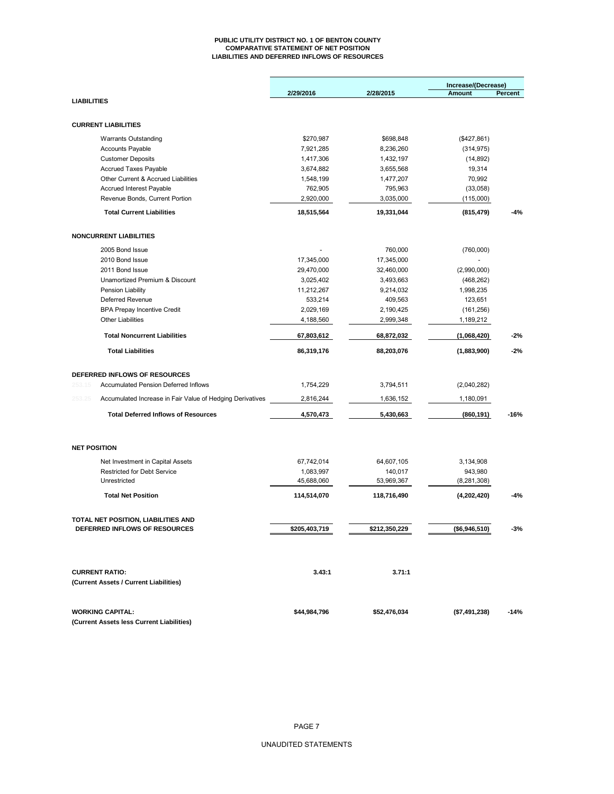#### **PUBLIC UTILITY DISTRICT NO. 1 OF BENTON COUNTY COMPARATIVE STATEMENT OF NET POSITION LIABILITIES AND DEFERRED INFLOWS OF RESOURCES**

|                    |                                                           |               |               | Increase/(Decrease) |         |
|--------------------|-----------------------------------------------------------|---------------|---------------|---------------------|---------|
|                    |                                                           | 2/29/2016     | 2/28/2015     | <b>Amount</b>       | Percent |
| <b>LIABILITIES</b> |                                                           |               |               |                     |         |
|                    | <b>CURRENT LIABILITIES</b>                                |               |               |                     |         |
|                    |                                                           |               |               |                     |         |
|                    | <b>Warrants Outstanding</b>                               | \$270,987     | \$698,848     | (\$427,861)         |         |
|                    | <b>Accounts Payable</b>                                   | 7,921,285     | 8,236,260     | (314, 975)          |         |
|                    | <b>Customer Deposits</b>                                  | 1,417,306     | 1,432,197     | (14, 892)           |         |
|                    | <b>Accrued Taxes Payable</b>                              | 3,674,882     | 3,655,568     | 19,314              |         |
|                    | Other Current & Accrued Liabilities                       | 1,548,199     | 1,477,207     | 70,992              |         |
|                    | <b>Accrued Interest Payable</b>                           | 762,905       | 795,963       | (33,058)            |         |
|                    | Revenue Bonds, Current Portion                            | 2,920,000     | 3,035,000     | (115,000)           |         |
|                    | <b>Total Current Liabilities</b>                          | 18,515,564    | 19,331,044    | (815, 479)          | -4%     |
|                    | <b>NONCURRENT LIABILITIES</b>                             |               |               |                     |         |
|                    | 2005 Bond Issue                                           |               | 760,000       | (760,000)           |         |
|                    | 2010 Bond Issue                                           | 17,345,000    | 17,345,000    |                     |         |
|                    | 2011 Bond Issue                                           | 29,470,000    | 32,460,000    | (2,990,000)         |         |
|                    | Unamortized Premium & Discount                            | 3,025,402     | 3,493,663     | (468, 262)          |         |
|                    | Pension Liability                                         | 11,212,267    | 9,214,032     | 1,998,235           |         |
|                    | Deferred Revenue                                          | 533,214       | 409,563       | 123,651             |         |
|                    | <b>BPA Prepay Incentive Credit</b>                        | 2,029,169     | 2,190,425     | (161, 256)          |         |
|                    | <b>Other Liabilities</b>                                  | 4,188,560     | 2,999,348     | 1,189,212           |         |
|                    |                                                           |               |               |                     |         |
|                    | <b>Total Noncurrent Liabilities</b>                       | 67,803,612    | 68,872,032    | (1,068,420)         | $-2%$   |
|                    | <b>Total Liabilities</b>                                  | 86,319,176    | 88,203,076    | (1,883,900)         | $-2%$   |
|                    | DEFERRED INFLOWS OF RESOURCES                             |               |               |                     |         |
| 253.15             | <b>Accumulated Pension Deferred Inflows</b>               | 1,754,229     | 3,794,511     | (2,040,282)         |         |
| 253.25             | Accumulated Increase in Fair Value of Hedging Derivatives | 2,816,244     | 1,636,152     | 1,180,091           |         |
|                    | <b>Total Deferred Inflows of Resources</b>                | 4,570,473     | 5,430,663     | (860, 191)          | $-16%$  |
|                    |                                                           |               |               |                     |         |
|                    | <b>NET POSITION</b>                                       |               |               |                     |         |
|                    | Net Investment in Capital Assets                          | 67,742,014    | 64,607,105    | 3,134,908           |         |
|                    | <b>Restricted for Debt Service</b>                        | 1,083,997     | 140,017       | 943,980             |         |
|                    | Unrestricted                                              | 45,688,060    | 53,969,367    | (8, 281, 308)       |         |
|                    | <b>Total Net Position</b>                                 | 114,514,070   | 118,716,490   | (4,202,420)         | $-4%$   |
|                    | TOTAL NET POSITION, LIABILITIES AND                       |               |               |                     |         |
|                    | DEFERRED INFLOWS OF RESOURCES                             | \$205,403,719 | \$212,350,229 | (\$6,946,510)       | -3%     |
|                    |                                                           |               |               |                     |         |
|                    | <b>CURRENT RATIO:</b>                                     | 3.43:1        | 3.71:1        |                     |         |
|                    | (Current Assets / Current Liabilities)                    |               |               |                     |         |
|                    | <b>WORKING CAPITAL:</b>                                   |               |               |                     |         |
|                    | (Current Assets less Current Liabilities)                 | \$44,984,796  | \$52,476,034  | (\$7,491,238)       | $-14%$  |
|                    |                                                           |               |               |                     |         |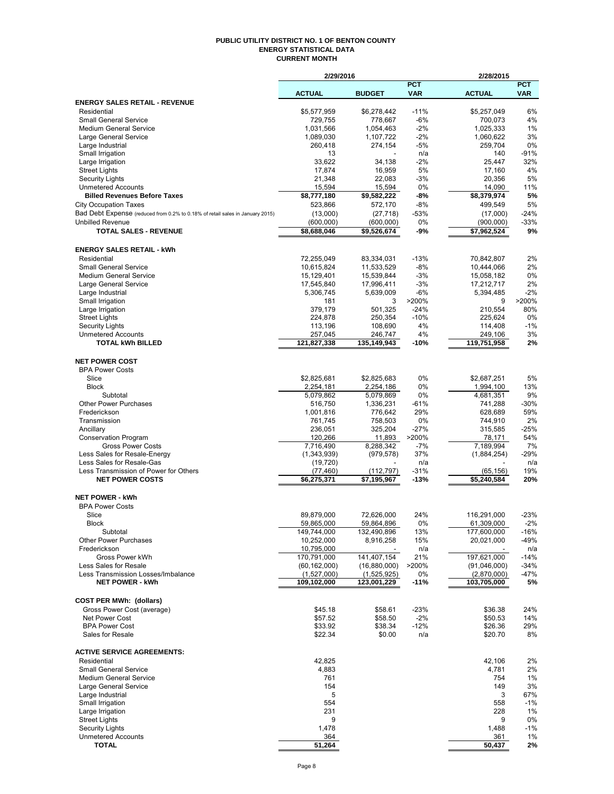#### **PUBLIC UTILITY DISTRICT NO. 1 OF BENTON COUNTY ENERGY STATISTICAL DATA CURRENT MONTH**

|                                                                               | 2/29/2016                 |                           |            | 2/28/2015                 |                 |
|-------------------------------------------------------------------------------|---------------------------|---------------------------|------------|---------------------------|-----------------|
|                                                                               |                           |                           | <b>PCT</b> |                           | <b>PCT</b>      |
|                                                                               | <b>ACTUAL</b>             | <b>BUDGET</b>             | <b>VAR</b> | <b>ACTUAL</b>             | <b>VAR</b>      |
| <b>ENERGY SALES RETAIL - REVENUE</b><br>Residential                           | \$5,577,959               | \$6,278,442               | $-11%$     | \$5,257,049               | 6%              |
| <b>Small General Service</b>                                                  | 729,755                   | 778,667                   | $-6%$      | 700,073                   | 4%              |
| <b>Medium General Service</b>                                                 | 1,031,566                 | 1,054,463                 | $-2%$      | 1,025,333                 | 1%              |
| Large General Service                                                         | 1,089,030                 | 1,107,722                 | $-2%$      | 1,060,622                 | 3%              |
| Large Industrial                                                              | 260,418                   | 274,154                   | $-5%$      | 259,704                   | 0%              |
| Small Irrigation                                                              | 13                        |                           | n/a        | 140                       | $-91%$          |
| Large Irrigation                                                              | 33,622                    | 34,138                    | $-2%$      | 25,447                    | 32%             |
| <b>Street Lights</b>                                                          | 17,874                    | 16,959                    | 5%         | 17,160                    | 4%              |
| Security Lights                                                               | 21,348                    | 22,083                    | $-3%$      | 20,356                    | 5%              |
| <b>Unmetered Accounts</b>                                                     | 15,594                    | 15,594                    | 0%         | 14,090                    | 11%             |
| <b>Billed Revenues Before Taxes</b>                                           | \$8,777,180               | \$9,582,222               | -8%        | \$8,379,974               | 5%              |
| <b>City Occupation Taxes</b>                                                  | 523,866                   | 572,170                   | $-8%$      | 499,549                   | 5%              |
| Bad Debt Expense (reduced from 0.2% to 0.18% of retail sales in January 2015) | (13,000)                  | (27, 718)                 | $-53%$     | (17,000)                  | $-24%$          |
| <b>Unbilled Revenue</b>                                                       | (600, 000)                | (600, 000)                | 0%         | (900,000)                 | $-33%$          |
| <b>TOTAL SALES - REVENUE</b>                                                  | \$8,688,046               | \$9,526,674               | -9%        | \$7,962,524               | 9%              |
| <b>ENERGY SALES RETAIL - kWh</b>                                              |                           |                           |            |                           |                 |
| Residential                                                                   | 72,255,049                |                           | $-13%$     |                           | 2%              |
| <b>Small General Service</b>                                                  | 10,615,824                | 83,334,031<br>11,533,529  | $-8%$      | 70,842,807<br>10,444,066  | 2%              |
| <b>Medium General Service</b>                                                 | 15,129,401                | 15,539,844                | $-3%$      | 15,058,182                | 0%              |
| Large General Service                                                         | 17,545,840                | 17,996,411                | $-3%$      | 17,212,717                | 2%              |
| Large Industrial                                                              | 5,306,745                 | 5,639,009                 | $-6%$      | 5,394,485                 | $-2%$           |
| Small Irrigation                                                              | 181                       | 3                         | >200%      | 9                         | >200%           |
| Large Irrigation                                                              | 379,179                   | 501,325                   | $-24%$     | 210,554                   | 80%             |
| <b>Street Lights</b>                                                          | 224,878                   | 250,354                   | $-10%$     | 225,624                   | 0%              |
| Security Lights                                                               | 113,196                   | 108,690                   | 4%         | 114,408                   | $-1%$           |
| <b>Unmetered Accounts</b>                                                     | 257,045                   | 246,747                   | 4%         | 249,106                   | 3%              |
| <b>TOTAL kWh BILLED</b>                                                       | 121,827,338               | 135,149,943               | -10%       | 119,751,958               | 2%              |
|                                                                               |                           |                           |            |                           |                 |
| <b>NET POWER COST</b>                                                         |                           |                           |            |                           |                 |
| <b>BPA Power Costs</b>                                                        |                           |                           |            |                           |                 |
| Slice                                                                         | \$2,825,681               | \$2,825,683               | 0%         | \$2,687,251               | 5%              |
| <b>Block</b><br>Subtotal                                                      | 2,254,181                 | 2,254,186                 | 0%<br>0%   | 1,994,100                 | 13%<br>9%       |
| <b>Other Power Purchases</b>                                                  | 5,079,862<br>516,750      | 5,079,869<br>1,336,231    | $-61%$     | 4,681,351<br>741,288      | $-30%$          |
| Frederickson                                                                  | 1,001,816                 | 776,642                   | 29%        | 628,689                   | 59%             |
| Transmission                                                                  | 761,745                   | 758,503                   | 0%         | 744,910                   | 2%              |
| Ancillary                                                                     | 236,051                   | 325,204                   | -27%       | 315,585                   | $-25%$          |
| <b>Conservation Program</b>                                                   | 120,266                   | 11,893                    | >200%      | 78,171                    | 54%             |
| <b>Gross Power Costs</b>                                                      | 7,716,490                 | 8,288,342                 | $-7%$      | 7,189,994                 | 7%              |
| Less Sales for Resale-Energy                                                  | (1,343,939)               | (979, 578)                | 37%        | (1,884,254)               | $-29%$          |
| Less Sales for Resale-Gas                                                     | (19, 720)                 |                           | n/a        |                           | n/a             |
| Less Transmission of Power for Others                                         | (77, 460)                 | (112, 797)                | -31%       | (65, 156)                 | 19%             |
| <b>NET POWER COSTS</b>                                                        | \$6,275,371               | \$7,195,967               | $-13%$     | \$5,240,584               | 20%             |
|                                                                               |                           |                           |            |                           |                 |
| <b>NET POWER - kWh</b>                                                        |                           |                           |            |                           |                 |
| <b>BPA Power Costs</b>                                                        |                           |                           |            |                           |                 |
| Slice                                                                         | 89,879,000                | 72,626,000                | 24%        | 116,291,000               | $-23%$          |
| <b>Block</b><br>Subtotal                                                      | 59,865,000<br>149,744,000 | 59,864,896<br>132,490,896 | 0%<br>13%  | 61,309,000<br>177,600,000 | $-2%$<br>$-16%$ |
| <b>Other Power Purchases</b>                                                  | 10,252,000                | 8,916,258                 | 15%        | 20,021,000                | -49%            |
| Frederickson                                                                  | 10,795,000                |                           | n/a        |                           | n/a             |
| Gross Power kWh                                                               | 170,791,000               | 141,407,154               | 21%        | 197,621,000               | $-14%$          |
| Less Sales for Resale                                                         | (60, 162, 000)            | (16, 880, 000)            | >200%      | (91,046,000)              | $-34%$          |
| Less Transmission Losses/Imbalance                                            | (1,527,000)               | (1,525,925)               | 0%         | (2,870,000)               | $-47%$          |
| <b>NET POWER - kWh</b>                                                        | 109,102,000               | 123,001,229               | $-11%$     | 103,705,000               | 5%              |
|                                                                               |                           |                           |            |                           |                 |
| <b>COST PER MWh: (dollars)</b>                                                |                           |                           |            |                           |                 |
| Gross Power Cost (average)                                                    | \$45.18                   | \$58.61                   | $-23%$     | \$36.38                   | 24%             |
| Net Power Cost                                                                | \$57.52                   | \$58.50                   | $-2%$      | \$50.53                   | 14%             |
| <b>BPA Power Cost</b>                                                         | \$33.92                   | \$38.34                   | $-12%$     | \$26.36                   | 29%             |
| Sales for Resale                                                              | \$22.34                   | \$0.00                    | n/a        | \$20.70                   | 8%              |
| <b>ACTIVE SERVICE AGREEMENTS:</b>                                             |                           |                           |            |                           |                 |
| Residential                                                                   | 42,825                    |                           |            | 42,106                    | 2%              |
| <b>Small General Service</b>                                                  | 4,883                     |                           |            | 4,781                     | 2%              |
| <b>Medium General Service</b>                                                 | 761                       |                           |            | 754                       | 1%              |
| Large General Service                                                         | 154                       |                           |            | 149                       | 3%              |
| Large Industrial                                                              | 5                         |                           |            | 3                         | 67%             |
| Small Irrigation                                                              | 554                       |                           |            | 558                       | $-1%$           |
| Large Irrigation                                                              | 231                       |                           |            | 228                       | 1%              |
| <b>Street Lights</b>                                                          | 9                         |                           |            | 9                         | 0%              |
| <b>Security Lights</b>                                                        | 1,478                     |                           |            | 1,488                     | $-1%$           |
| <b>Unmetered Accounts</b>                                                     | 364                       |                           |            | 361                       | 1%              |
| <b>TOTAL</b>                                                                  | 51,264                    |                           |            | 50,437                    | 2%              |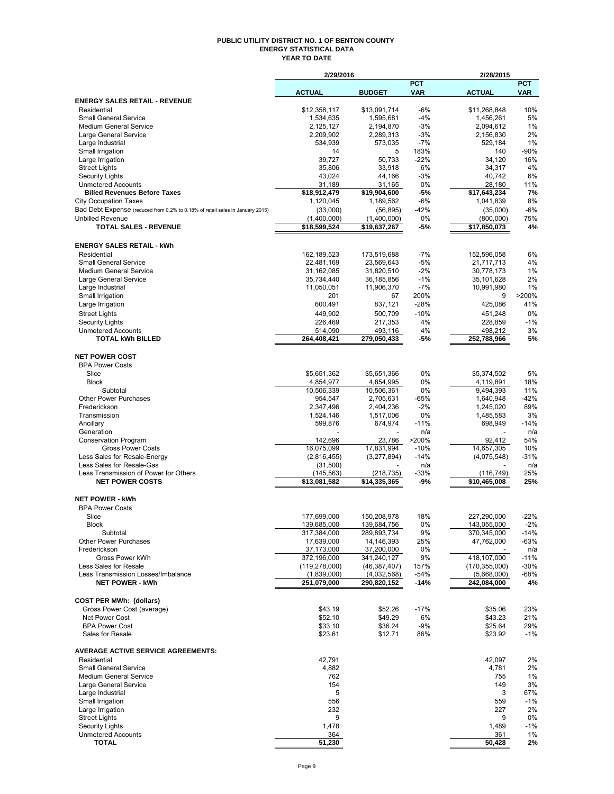### **PUBLIC UTILITY DISTRICT NO. 1 OF BENTON COUNTY ENERGY STATISTICAL DATA YEAR TO DATE**

|                                                                               | 2/29/2016                |                            | 2/28/2015                |                            |                          |
|-------------------------------------------------------------------------------|--------------------------|----------------------------|--------------------------|----------------------------|--------------------------|
|                                                                               | <b>ACTUAL</b>            | <b>BUDGET</b>              | <b>PCT</b><br><b>VAR</b> | <b>ACTUAL</b>              | <b>PCT</b><br><b>VAR</b> |
| <b>ENERGY SALES RETAIL - REVENUE</b>                                          |                          |                            |                          |                            |                          |
| Residential                                                                   | \$12,358,117             | \$13,091,714               | $-6%$                    | \$11,268,848               | 10%                      |
| <b>Small General Service</b>                                                  | 1,534,635                | 1,595,681                  | $-4%$                    | 1,456,261                  | 5%                       |
| <b>Medium General Service</b>                                                 | 2,125,127                | 2,194,870                  | $-3%$                    | 2,094,612                  | 1%                       |
| Large General Service                                                         | 2,209,902                | 2,289,313                  | -3%                      | 2,156,830                  | 2%                       |
| Large Industrial                                                              | 534,939                  | 573,035                    | $-7%$                    | 529,184                    | 1%                       |
| Small Irrigation<br>Large Irrigation                                          | 14<br>39,727             | 5<br>50,733                | 183%<br>$-22%$           | 140<br>34,120              | $-90%$<br>16%            |
| <b>Street Lights</b>                                                          | 35,806                   | 33,918                     | 6%                       | 34,317                     | 4%                       |
| <b>Security Lights</b>                                                        | 43.024                   | 44,166                     | $-3%$                    | 40,742                     | 6%                       |
| <b>Unmetered Accounts</b>                                                     | 31,189                   | 31,165                     | 0%                       | 28,180                     | 11%                      |
| <b>Billed Revenues Before Taxes</b>                                           | \$18,912,479             | \$19,904,600               | -5%                      | \$17,643,234               | 7%                       |
| <b>City Occupation Taxes</b>                                                  | 1,120,045                | 1,189,562                  | $-6%$                    | 1,041,839                  | 8%                       |
| Bad Debt Expense (reduced from 0.2% to 0.18% of retail sales in January 2015) | (33,000)                 | (56, 895)                  | $-42%$                   | (35,000)                   | $-6%$                    |
| <b>Unbilled Revenue</b><br><b>TOTAL SALES - REVENUE</b>                       | (1,400,000)              | (1,400,000)                | 0%<br>-5%                | (800,000)<br>\$17,850,073  | 75%<br>4%                |
|                                                                               | \$18,599,524             | \$19,637,267               |                          |                            |                          |
| <b>ENERGY SALES RETAIL - kWh</b>                                              |                          |                            |                          |                            |                          |
| Residential                                                                   | 162,189,523              | 173,519,688                | $-7%$                    | 152,596,058                | 6%                       |
| <b>Small General Service</b>                                                  | 22,481,169               | 23,569,643                 | $-5%$                    | 21,717,713                 | 4%                       |
| <b>Medium General Service</b>                                                 | 31,162,085               | 31,820,510                 | $-2%$                    | 30,778,173                 | 1%                       |
| Large General Service                                                         | 35,734,440               | 36, 185, 856               | $-1%$                    | 35,101,628                 | 2%                       |
| Large Industrial                                                              | 11,050,051               | 11,906,370                 | $-7%$                    | 10,991,980                 | 1%                       |
| Small Irrigation                                                              | 201                      | 67                         | 200%                     | 9                          | >200%                    |
| Large Irrigation                                                              | 600.491                  | 837,121                    | $-28%$                   | 425,086                    | 41%                      |
| <b>Street Lights</b>                                                          | 449,902                  | 500.709                    | $-10%$                   | 451,248                    | 0%                       |
| <b>Security Lights</b><br><b>Unmetered Accounts</b>                           | 226,469<br>514,090       | 217,353<br>493,116         | 4%<br>4%                 | 228,859<br>498,212         | $-1%$<br>3%              |
| <b>TOTAL kWh BILLED</b>                                                       | 264,408,421              | 279.050.433                | -5%                      | 252,788,966                | 5%                       |
|                                                                               |                          |                            |                          |                            |                          |
| <b>NET POWER COST</b>                                                         |                          |                            |                          |                            |                          |
| <b>BPA Power Costs</b>                                                        |                          |                            |                          |                            |                          |
| Slice                                                                         | \$5,651,362              | \$5,651,366                | 0%                       | \$5,374,502                | 5%                       |
| <b>Block</b>                                                                  | 4,854,977                | 4,854,995                  | 0%                       | 4,119,891                  | 18%                      |
| Subtotal                                                                      | 10,506,339               | 10,506,361                 | 0%                       | 9,494,393                  | 11%                      |
| Other Power Purchases<br>Frederickson                                         | 954,547                  | 2,705,631                  | $-65%$<br>$-2%$          | 1,640,948                  | $-42%$<br>89%            |
| Transmission                                                                  | 2,347,496<br>1,524,146   | 2,404,236<br>1,517,006     | 0%                       | 1,245,020<br>1,485,583     | 3%                       |
| Ancillary                                                                     | 599,876                  | 674,974                    | $-11%$                   | 698,949                    | $-14%$                   |
| Generation                                                                    |                          |                            | n/a                      |                            | n/a                      |
| <b>Conservation Program</b>                                                   | 142,696                  | 23,786                     | >200%                    | 92,412                     | 54%                      |
| <b>Gross Power Costs</b>                                                      | 16,075,099               | 17,831,994                 | $-10%$                   | 14,657,305                 | 10%                      |
| Less Sales for Resale-Energy                                                  | (2,816,455)              | (3,277,894)                | $-14%$                   | (4,075,548)                | $-31%$                   |
| Less Sales for Resale-Gas<br>Less Transmission of Power for Others            | (31,500)<br>(145, 563)   | (218, 735)                 | n/a                      |                            | n/a<br>25%               |
| <b>NET POWER COSTS</b>                                                        | \$13,081,582             | \$14,335,365               | $-33%$<br>-9%            | (116, 749)<br>\$10,465,008 | 25%                      |
|                                                                               |                          |                            |                          |                            |                          |
| <b>NET POWER - kWh</b>                                                        |                          |                            |                          |                            |                          |
| <b>BPA Power Costs</b>                                                        |                          |                            |                          |                            |                          |
| Slice                                                                         | 177,699,000              | 150,208,978                | 18%                      | 227,290,000                | $-22%$                   |
| <b>Block</b>                                                                  | 139,685,000              | 139,684,756                | 0%                       | 143,055,000                | $-2%$                    |
| Subtotal                                                                      | 317,384,000              | 289,893,734                | 9%                       | 370,345,000                | $-14%$                   |
| Other Power Purchases<br>Frederickson                                         | 17,639,000<br>37,173,000 | 14, 146, 393<br>37,200,000 | 25%<br>0%                | 47,762,000                 | $-63%$<br>n/a            |
| Gross Power kWh                                                               | 372,196,000              | 341,240,127                | 9%                       | 418,107,000                | $-11%$                   |
| Less Sales for Resale                                                         | (119, 278, 000)          | (46, 387, 407)             | 157%                     | (170, 355, 000)            | $-30%$                   |
| Less Transmission Losses/Imbalance                                            | (1,839,000)              | (4,032,568)                | $-54%$                   | (5,668,000)                | -68%                     |
| <b>NET POWER - kWh</b>                                                        | 251,079,000              | 290,820,152                | -14%                     | 242,084,000                | 4%                       |
|                                                                               |                          |                            |                          |                            |                          |
| <b>COST PER MWh: (dollars)</b>                                                |                          |                            |                          |                            |                          |
| Gross Power Cost (average)                                                    | \$43.19                  | \$52.26                    | $-17%$                   | \$35.06                    | 23%                      |
| Net Power Cost<br><b>BPA Power Cost</b>                                       | \$52.10<br>\$33.10       | \$49.29<br>\$36.24         | 6%<br>$-9%$              | \$43.23<br>\$25.64         | 21%<br>29%               |
| Sales for Resale                                                              | \$23.61                  | \$12.71                    | 86%                      | \$23.92                    | $-1%$                    |
|                                                                               |                          |                            |                          |                            |                          |
| <b>AVERAGE ACTIVE SERVICE AGREEMENTS:</b>                                     |                          |                            |                          |                            |                          |
| Residential                                                                   | 42,791                   |                            |                          | 42,097                     | 2%                       |
| <b>Small General Service</b>                                                  | 4,882                    |                            |                          | 4,781                      | 2%                       |
| <b>Medium General Service</b>                                                 | 762                      |                            |                          | 755                        | 1%                       |
| Large General Service                                                         | 154<br>5                 |                            |                          | 149<br>3                   | 3%<br>67%                |
| Large Industrial<br>Small Irrigation                                          | 556                      |                            |                          | 559                        | -1%                      |
| Large Irrigation                                                              | 232                      |                            |                          | 227                        | 2%                       |
| <b>Street Lights</b>                                                          | 9                        |                            |                          | 9                          | 0%                       |
| <b>Security Lights</b>                                                        | 1,478                    |                            |                          | 1,489                      | $-1%$                    |
| <b>Unmetered Accounts</b>                                                     | 364                      |                            |                          | 361                        | 1%                       |
| <b>TOTAL</b>                                                                  | 51,230                   |                            |                          | 50,428                     | 2%                       |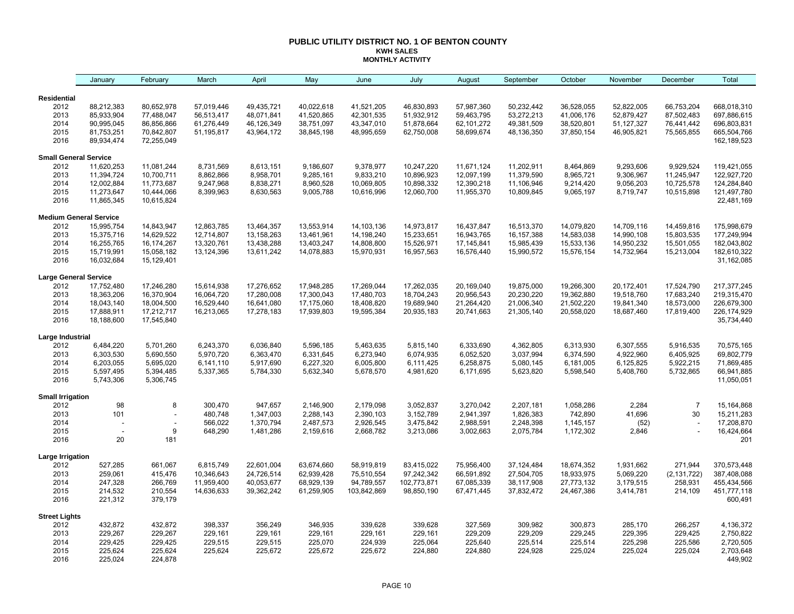#### **PUBLIC UTILITY DISTRICT NO. 1 OF BENTON COUNTY KWH SALES MONTHLY ACTIVITY**

| <b>Residential</b>                                                                                                                                                     | 36,528,055 |            |                |                           |
|------------------------------------------------------------------------------------------------------------------------------------------------------------------------|------------|------------|----------------|---------------------------|
|                                                                                                                                                                        |            |            |                |                           |
| 2012<br>88,212,383<br>80,652,978<br>57,019,446<br>49,435,721<br>40,022,618<br>41,521,205<br>46,830,893<br>57,987,360<br>50,232,442                                     |            | 52,822,005 | 66,753,204     | 668,018,310               |
| 2013<br>85,933,904<br>77,488,047<br>48,071,841<br>41,520,865<br>42,301,535<br>51,932,912<br>59,463,795<br>53,272,213<br>56,513,417                                     | 41,006,176 | 52,879,427 | 87,502,483     | 697,886,615               |
| 2014<br>90,995,045<br>86,856,866<br>61,276,449<br>46,126,349<br>38,751,097<br>43,347,010<br>51,878,664<br>62,101,272<br>49,381,509                                     | 38,520,801 | 51,127,327 | 76,441,442     | 696,803,831               |
| 2015<br>81,753,251<br>70,842,807<br>51,195,817<br>43,964,172<br>38,845,198<br>48,995,659<br>62,750,008<br>58,699,674<br>48,136,350                                     | 37,850,154 | 46,905,821 | 75,565,855     | 665,504,766               |
| 2016<br>89,934,474<br>72,255,049                                                                                                                                       |            |            |                | 162, 189, 523             |
| <b>Small General Service</b>                                                                                                                                           |            |            |                |                           |
| 2012<br>11,620,253<br>11,081,244<br>8,731,569<br>8,613,151<br>9,186,607<br>9,378,977<br>10,247,220<br>11,671,124<br>11,202,911                                         | 8,464,869  | 9,293,606  | 9,929,524      | 119,421,055               |
| 2013<br>11,394,724<br>10,700,711<br>8,862,866<br>8,958,701<br>9,285,161<br>9,833,210<br>11,379,590<br>10,896,923<br>12,097,199                                         | 8,965,721  | 9,306,967  | 11,245,947     | 122,927,720               |
| 2014<br>12,002,884<br>9,247,968<br>10,069,805<br>11,773,687<br>8,838,271<br>8,960,528<br>10,898,332<br>12,390,218<br>11,106,946                                        | 9,214,420  | 9,056,203  | 10,725,578     | 124,284,840               |
| 2015<br>11,273,647<br>10,444,066<br>8,399,963<br>8,630,563<br>9,005,788<br>12,060,700<br>11,955,370<br>10,809,845<br>10,616,996<br>2016<br>11,865,345<br>10,615,824    | 9,065,197  | 8,719,747  | 10,515,898     | 121,497,780<br>22,481,169 |
|                                                                                                                                                                        |            |            |                |                           |
| <b>Medium General Service</b>                                                                                                                                          |            |            |                |                           |
| 2012<br>15,995,754<br>14,843,947<br>12,863,785<br>13,464,357<br>13,553,914<br>14,103,136<br>14,973,817<br>16,437,847<br>16,513,370                                     | 14,079,820 | 14,709,116 | 14,459,816     | 175,998,679               |
| 2013<br>15,375,716<br>14,629,522<br>12,714,807<br>13,158,263<br>13,461,961<br>14,198,240<br>15,233,651<br>16,943,765<br>16, 157, 388                                   | 14,583,038 | 14,990,108 | 15,803,535     | 177,249,994               |
| 2014<br>16,255,765<br>16,174,267<br>13,320,761<br>13,438,288<br>13,403,247<br>14,808,800<br>15,526,971<br>17, 145, 841<br>15,985,439                                   | 15,533,136 | 14,950,232 | 15,501,055     | 182,043,802               |
| 2015<br>15,719,991<br>15,058,182<br>13,124,396<br>13,611,242<br>14,078,883<br>15,970,931<br>16,957,563<br>16,576,440<br>15,990,572<br>2016<br>16,032,684<br>15,129,401 | 15,576,154 | 14,732,964 | 15,213,004     | 182,610,322<br>31,162,085 |
| <b>Large General Service</b>                                                                                                                                           |            |            |                |                           |
| 2012<br>17,752,480<br>17,246,280<br>15,614,938<br>17,276,652<br>17,948,285<br>17,269,044<br>17,262,035<br>20,169,040<br>19,875,000                                     | 19,266,300 | 20,172,401 | 17,524,790     | 217, 377, 245             |
| 2013<br>20,956,543<br>18,363,206<br>16,370,904<br>16,064,720<br>17,280,008<br>17,300,043<br>17,480,703<br>18,704,243<br>20,230,220                                     | 19,362,880 | 19,518,760 | 17,683,240     | 219,315,470               |
| 2014<br>18,004,500<br>18,043,140<br>16,529,440<br>16,641,080<br>17,175,060<br>18,408,820<br>19,689,940<br>21,264,420<br>21,006,340                                     | 21,502,220 | 19,841,340 | 18,573,000     | 226,679,300               |
| 2015<br>17,888,911<br>17,212,717<br>16,213,065<br>17,278,183<br>17,939,803<br>19,595,384<br>20,935,183<br>20,741,663<br>21,305,140                                     | 20,558,020 | 18,687,460 | 17,819,400     | 226, 174, 929             |
| 2016<br>18,188,600<br>17,545,840                                                                                                                                       |            |            |                | 35,734,440                |
| Large Industrial                                                                                                                                                       |            |            |                |                           |
| 2012<br>6,484,220<br>6,243,370<br>6,036,840<br>5,463,635<br>5,815,140<br>6,333,690<br>4,362,805<br>5,701,260<br>5,596,185                                              | 6,313,930  | 6,307,555  | 5,916,535      | 70,575,165                |
| 2013<br>6,303,530<br>5,690,550<br>5,970,720<br>6,363,470<br>6,331,645<br>6,273,940<br>6,074,935<br>6,052,520<br>3,037,994                                              | 6,374,590  | 4,922,960  | 6,405,925      | 69,802,779                |
| 2014<br>6,203,055<br>5,695,020<br>5,917,690<br>6,227,320<br>6,258,875<br>5,080,145<br>6,141,110<br>6,005,800<br>6,111,425                                              | 6,181,005  | 6,125,825  | 5,922,215      | 71,869,485                |
| 2015<br>5,597,495<br>5,394,485<br>5,337,365<br>5,784,330<br>5,632,340<br>5,678,570<br>4,981,620<br>6,171,695<br>5,623,820<br>2016<br>5,743,306<br>5,306,745            | 5,598,540  | 5,408,760  | 5,732,865      | 66,941,885<br>11,050,051  |
|                                                                                                                                                                        |            |            |                |                           |
| <b>Small Irrigation</b><br>98<br>8<br>300,470<br>947,657<br>2,179,098<br>3,052,837<br>2012<br>2,146,900<br>3,270,042<br>2,207,181                                      | 1,058,286  | 2,284      | $\overline{7}$ | 15, 164, 868              |
| 2013<br>480,748<br>101<br>1,347,003<br>2,288,143<br>2,390,103<br>3,152,789<br>2,941,397<br>1,826,383                                                                   | 742,890    | 41,696     | 30             | 15,211,283                |
| 2014<br>3,475,842<br>566,022<br>1,370,794<br>2,487,573<br>2,926,545<br>2,988,591<br>2,248,398<br>$\overline{a}$                                                        | 1,145,157  | (52)       |                | 17,208,870                |
| 2015<br>9<br>648,290<br>1,481,286<br>2,159,616<br>2,668,782<br>3,213,086<br>3,002,663<br>2,075,784                                                                     | 1,172,302  | 2,846      |                | 16,424,664                |
| 2016<br>20<br>181                                                                                                                                                      |            |            |                | 201                       |
| Large Irrigation                                                                                                                                                       |            |            |                |                           |
| 2012<br>661,067<br>6,815,749<br>22,601,004<br>58,919,819<br>83,415,022<br>37,124,484<br>527,285<br>63,674,660<br>75,956,400                                            | 18,674,352 | 1,931,662  | 271,944        | 370,573,448               |
| 2013<br>259,061<br>415,476<br>10,346,643<br>24,726,514<br>62,939,428<br>97,242,342<br>27,504,705<br>75,510,554<br>66,591,892                                           | 18,933,975 | 5,069,220  | (2, 131, 722)  | 387,408,088               |
| 2014<br>247,328<br>266,769<br>11,959,400<br>40,053,677<br>68,929,139<br>94,789,557<br>67,085,339<br>102,773,871<br>38,117,908                                          | 27,773,132 | 3,179,515  | 258,931        | 455,434,566               |
| 2015<br>214,532<br>210,554<br>39,362,242<br>14,636,633<br>61,259,905<br>103,842,869<br>98,850,190<br>67,471,445<br>37,832,472                                          | 24,467,386 | 3,414,781  | 214,109        | 451,777,118               |
| 2016<br>221,312<br>379,179                                                                                                                                             |            |            |                | 600,491                   |
| <b>Street Lights</b>                                                                                                                                                   |            |            |                |                           |
| 2012<br>432,872<br>432,872<br>398,337<br>346,935<br>339,628<br>327,569<br>309,982<br>356,249<br>339,628                                                                | 300,873    | 285,170    | 266,257        | 4,136,372                 |
| 229,267<br>229,267<br>229,209<br>229,209<br>2013<br>229,161<br>229,161<br>229,161<br>229,161<br>229,161                                                                | 229,245    | 229,395    | 229,425        | 2,750,822                 |
| 2014<br>229,425<br>229,425<br>229,515<br>225,070<br>224,939<br>225,640<br>225,514<br>229,515<br>225,064                                                                | 225,514    | 225,298    | 225,586        | 2,720,505                 |
| 2015<br>225,624<br>225,624<br>225,624<br>225,672<br>225,672<br>225,672<br>224,880<br>224,880<br>224,928<br>2016<br>225,024<br>224,878                                  | 225,024    | 225,024    | 225,024        | 2,703,648<br>449,902      |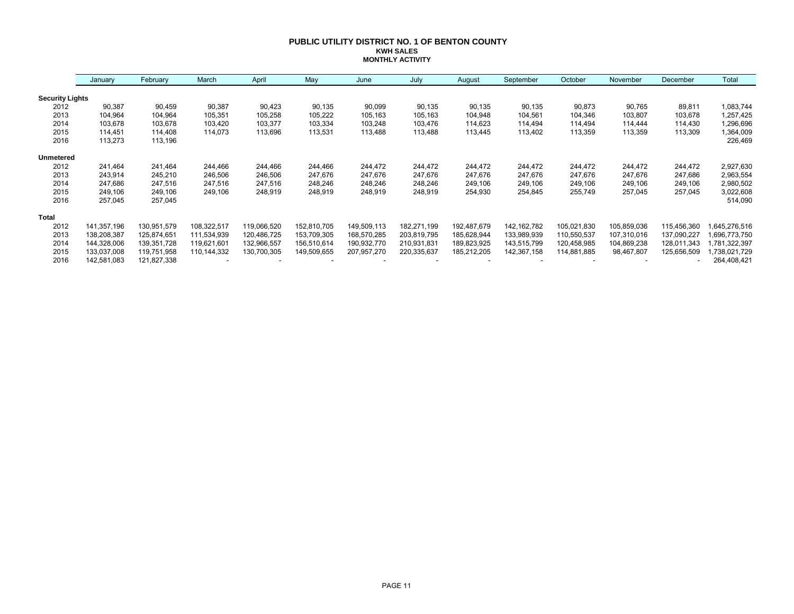#### **PUBLIC UTILITY DISTRICT NO. 1 OF BENTON COUNTY KWH SALES MONTHLY ACTIVITY**

|                        | January     | February    | March       | April       | May         | June        | July        | August      | September     | October     | November    | December    | Total        |
|------------------------|-------------|-------------|-------------|-------------|-------------|-------------|-------------|-------------|---------------|-------------|-------------|-------------|--------------|
| <b>Security Lights</b> |             |             |             |             |             |             |             |             |               |             |             |             |              |
| 2012                   | 90,387      | 90,459      | 90,387      | 90,423      | 90,135      | 90,099      | 90,135      | 90,135      | 90,135        | 90,873      | 90,765      | 89,811      | 1,083,744    |
| 2013                   | 104,964     | 104,964     | 105,351     | 105,258     | 105,222     | 105,163     | 105,163     | 104,948     | 104,561       | 104,346     | 103,807     | 103,678     | 1,257,425    |
| 2014                   | 103,678     | 103,678     | 103,420     | 103,377     | 103,334     | 103,248     | 103,476     | 114,623     | 114,494       | 114,494     | 114,444     | 114,430     | 1,296,696    |
| 2015                   | 114,451     | 114,408     | 114,073     | 113,696     | 113,531     | 113,488     | 113,488     | 113,445     | 113,402       | 113,359     | 113,359     | 113,309     | 1,364,009    |
| 2016                   | 113,273     | 113,196     |             |             |             |             |             |             |               |             |             |             | 226,469      |
| <b>Unmetered</b>       |             |             |             |             |             |             |             |             |               |             |             |             |              |
| 2012                   | 241,464     | 241,464     | 244,466     | 244,466     | 244.466     | 244,472     | 244,472     | 244,472     | 244,472       | 244,472     | 244,472     | 244,472     | 2,927,630    |
| 2013                   | 243,914     | 245,210     | 246,506     | 246,506     | 247,676     | 247,676     | 247,676     | 247,676     | 247,676       | 247,676     | 247,676     | 247,686     | 2,963,554    |
| 2014                   | 247,686     | 247,516     | 247,516     | 247,516     | 248,246     | 248,246     | 248,246     | 249,106     | 249,106       | 249,106     | 249,106     | 249,106     | 2,980,502    |
| 2015                   | 249,106     | 249,106     | 249,106     | 248,919     | 248,919     | 248,919     | 248,919     | 254,930     | 254,845       | 255,749     | 257,045     | 257,045     | 3,022,608    |
| 2016                   | 257,045     | 257,045     |             |             |             |             |             |             |               |             |             |             | 514,090      |
| <b>Total</b>           |             |             |             |             |             |             |             |             |               |             |             |             |              |
| 2012                   | 141,357,196 | 130,951,579 | 108,322,517 | 119,066,520 | 152,810,705 | 149,509,113 | 182,271,199 | 192,487,679 | 142, 162, 782 | 105,021,830 | 105,859,036 | 115,456,360 | ,645,276,516 |
| 2013                   | 138,208,387 | 125,874,651 | 111,534,939 | 120,486,725 | 153,709,305 | 168,570,285 | 203,819,795 | 185,628,944 | 133,989,939   | 110,550,537 | 107,310,016 | 137,090,227 | .696,773,750 |
| 2014                   | 144,328,006 | 139,351,728 | 119,621,601 | 132,966,557 | 156,510,614 | 190,932,770 | 210,931,831 | 189,823,925 | 143,515,799   | 120,458,985 | 104,869,238 | 128,011,343 | ,781,322,397 |
| 2015                   | 133,037,008 | 119,751,958 | 110,144,332 | 130,700,305 | 149,509,655 | 207,957,270 | 220,335,637 | 185,212,205 | 142,367,158   | 114,881,885 | 98,467,807  | 125,656,509 | ,738,021,729 |
| 2016                   | 142,581,083 | 121,827,338 |             |             |             |             |             |             |               |             |             | ٠           | 264,408,421  |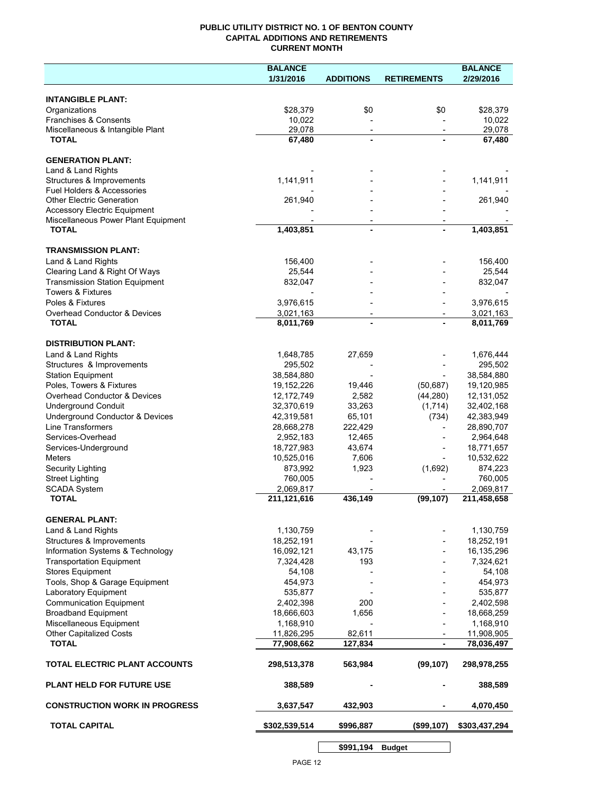## **PUBLIC UTILITY DISTRICT NO. 1 OF BENTON COUNTY CAPITAL ADDITIONS AND RETIREMENTS CURRENT MONTH**

|                                         | <b>BALANCE</b> |                          |                          | <b>BALANCE</b> |
|-----------------------------------------|----------------|--------------------------|--------------------------|----------------|
|                                         | 1/31/2016      | <b>ADDITIONS</b>         | <b>RETIREMENTS</b>       | 2/29/2016      |
| <b>INTANGIBLE PLANT:</b>                |                |                          |                          |                |
| Organizations                           | \$28,379       | \$0                      | \$0                      | \$28,379       |
| Franchises & Consents                   | 10,022         |                          |                          | 10,022         |
| Miscellaneous & Intangible Plant        | 29,078         | $\overline{\phantom{a}}$ | $\overline{\phantom{a}}$ | 29,078         |
| <b>TOTAL</b>                            | 67,480         | $\blacksquare$           |                          | 67,480         |
| <b>GENERATION PLANT:</b>                |                |                          |                          |                |
| Land & Land Rights                      |                |                          |                          |                |
| Structures & Improvements               | 1,141,911      |                          |                          | 1,141,911      |
| Fuel Holders & Accessories              |                |                          |                          |                |
| <b>Other Electric Generation</b>        | 261,940        |                          |                          | 261,940        |
| <b>Accessory Electric Equipment</b>     |                |                          |                          |                |
| Miscellaneous Power Plant Equipment     |                |                          |                          |                |
| <b>TOTAL</b>                            | 1,403,851      | $\blacksquare$           |                          | 1,403,851      |
| <b>TRANSMISSION PLANT:</b>              |                |                          |                          |                |
| Land & Land Rights                      | 156,400        |                          |                          | 156,400        |
| Clearing Land & Right Of Ways           | 25,544         |                          |                          | 25,544         |
| <b>Transmission Station Equipment</b>   | 832,047        |                          |                          | 832,047        |
| <b>Towers &amp; Fixtures</b>            |                |                          |                          |                |
| Poles & Fixtures                        | 3,976,615      |                          |                          | 3,976,615      |
| <b>Overhead Conductor &amp; Devices</b> | 3,021,163      |                          |                          | 3,021,163      |
| <b>TOTAL</b>                            | 8,011,769      |                          |                          | 8,011,769      |
| <b>DISTRIBUTION PLANT:</b>              |                |                          |                          |                |
| Land & Land Rights                      | 1,648,785      | 27,659                   |                          | 1,676,444      |
| Structures & Improvements               | 295,502        |                          |                          | 295,502        |
| <b>Station Equipment</b>                | 38,584,880     |                          |                          | 38,584,880     |
| Poles, Towers & Fixtures                | 19,152,226     | 19,446                   | (50, 687)                | 19,120,985     |
| Overhead Conductor & Devices            | 12,172,749     | 2,582                    | (44, 280)                | 12,131,052     |
| <b>Underground Conduit</b>              | 32,370,619     | 33,263                   | (1,714)                  | 32,402,168     |
| Underground Conductor & Devices         | 42,319,581     | 65,101                   | (734)                    | 42,383,949     |
| <b>Line Transformers</b>                | 28,668,278     | 222,429                  |                          | 28,890,707     |
| Services-Overhead                       | 2,952,183      | 12,465                   |                          | 2,964,648      |
| Services-Underground                    | 18,727,983     | 43,674                   |                          | 18,771,657     |
| Meters                                  | 10,525,016     | 7,606                    |                          | 10,532,622     |
| Security Lighting                       | 873,992        | 1,923                    | (1,692)                  | 874,223        |
| <b>Street Lighting</b>                  | 760,005        |                          |                          | 760,005        |
| <b>SCADA System</b>                     | 2,069,817      |                          |                          | 2,069,817      |
| <b>TOTAL</b>                            | 211,121,616    | 436,149                  | (99, 107)                | 211,458,658    |
| <b>GENERAL PLANT:</b>                   |                |                          |                          |                |
| Land & Land Rights                      | 1,130,759      |                          |                          | 1,130,759      |
| Structures & Improvements               | 18,252,191     |                          |                          | 18,252,191     |
| Information Systems & Technology        | 16,092,121     | 43,175                   |                          | 16,135,296     |
| <b>Transportation Equipment</b>         | 7,324,428      | 193                      |                          | 7,324,621      |
| <b>Stores Equipment</b>                 | 54,108         |                          |                          | 54,108         |
| Tools, Shop & Garage Equipment          | 454,973        |                          |                          | 454,973        |
| Laboratory Equipment                    | 535,877        |                          |                          | 535,877        |
| <b>Communication Equipment</b>          | 2,402,398      | 200                      |                          | 2,402,598      |
| <b>Broadband Equipment</b>              | 18,666,603     | 1,656                    |                          | 18,668,259     |
| Miscellaneous Equipment                 | 1,168,910      |                          |                          | 1,168,910      |
| <b>Other Capitalized Costs</b>          | 11,826,295     | 82,611                   |                          | 11,908,905     |
| <b>TOTAL</b>                            | 77,908,662     | 127,834                  |                          | 78,036,497     |
| TOTAL ELECTRIC PLANT ACCOUNTS           | 298,513,378    | 563,984                  | (99, 107)                | 298,978,255    |
| <b>PLANT HELD FOR FUTURE USE</b>        | 388,589        |                          |                          | 388,589        |
| <b>CONSTRUCTION WORK IN PROGRESS</b>    | 3,637,547      | 432,903                  |                          | 4,070,450      |
| <b>TOTAL CAPITAL</b>                    | \$302,539,514  | \$996,887                | (\$99,107)               | \$303,437,294  |
|                                         |                |                          |                          |                |

**\$991,194 Budget**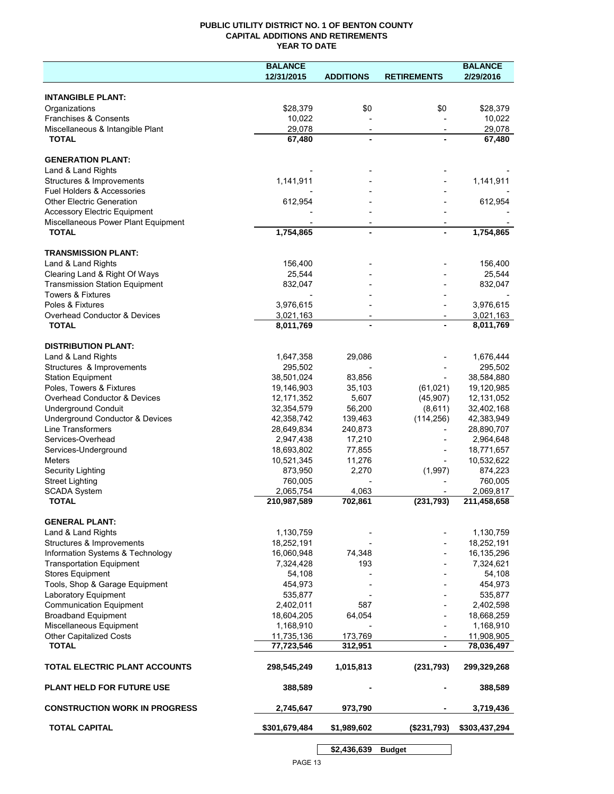## **PUBLIC UTILITY DISTRICT NO. 1 OF BENTON COUNTY CAPITAL ADDITIONS AND RETIREMENTS YEAR TO DATE**

|                                                  | <b>BALANCE</b> |                  |                    | <b>BALANCE</b> |
|--------------------------------------------------|----------------|------------------|--------------------|----------------|
|                                                  | 12/31/2015     | <b>ADDITIONS</b> | <b>RETIREMENTS</b> | 2/29/2016      |
|                                                  |                |                  |                    |                |
| <b>INTANGIBLE PLANT:</b>                         |                |                  |                    |                |
| Organizations                                    | \$28,379       | \$0              | \$0                | \$28,379       |
| Franchises & Consents                            | 10,022         |                  |                    | 10,022         |
| Miscellaneous & Intangible Plant<br><b>TOTAL</b> | 29,078         |                  |                    | 29,078         |
|                                                  | 67,480         |                  |                    | 67,480         |
| <b>GENERATION PLANT:</b>                         |                |                  |                    |                |
| Land & Land Rights                               |                |                  |                    |                |
| Structures & Improvements                        | 1,141,911      |                  |                    | 1,141,911      |
| Fuel Holders & Accessories                       |                |                  |                    |                |
| <b>Other Electric Generation</b>                 | 612,954        |                  |                    | 612,954        |
| <b>Accessory Electric Equipment</b>              |                |                  |                    |                |
| Miscellaneous Power Plant Equipment              |                |                  |                    |                |
| <b>TOTAL</b>                                     | 1,754,865      |                  | $\blacksquare$     | 1,754,865      |
|                                                  |                |                  |                    |                |
| <b>TRANSMISSION PLANT:</b>                       |                |                  |                    |                |
| Land & Land Rights                               | 156,400        |                  |                    | 156,400        |
| Clearing Land & Right Of Ways                    | 25,544         |                  |                    | 25,544         |
| <b>Transmission Station Equipment</b>            | 832,047        |                  |                    | 832,047        |
| Towers & Fixtures                                |                |                  |                    |                |
| Poles & Fixtures                                 | 3,976,615      |                  |                    | 3,976,615      |
| Overhead Conductor & Devices                     | 3,021,163      |                  |                    | 3,021,163      |
| <b>TOTAL</b>                                     | 8,011,769      |                  |                    | 8,011,769      |
| <b>DISTRIBUTION PLANT:</b>                       |                |                  |                    |                |
| Land & Land Rights                               | 1,647,358      | 29,086           |                    | 1,676,444      |
| Structures & Improvements                        | 295,502        |                  |                    | 295,502        |
| <b>Station Equipment</b>                         | 38,501,024     | 83,856           |                    | 38,584,880     |
| Poles, Towers & Fixtures                         | 19,146,903     | 35,103           | (61, 021)          | 19,120,985     |
| Overhead Conductor & Devices                     | 12,171,352     | 5,607            | (45,907)           | 12,131,052     |
| <b>Underground Conduit</b>                       | 32,354,579     | 56,200           | (8,611)            | 32,402,168     |
| Underground Conductor & Devices                  | 42,358,742     | 139,463          | (114, 256)         | 42,383,949     |
| Line Transformers                                | 28,649,834     | 240,873          |                    | 28,890,707     |
| Services-Overhead                                | 2,947,438      | 17,210           |                    | 2,964,648      |
| Services-Underground                             | 18,693,802     | 77,855           |                    | 18,771,657     |
| <b>Meters</b>                                    | 10,521,345     | 11,276           |                    | 10,532,622     |
| Security Lighting                                | 873,950        | 2,270            | (1,997)            | 874,223        |
| <b>Street Lighting</b>                           | 760,005        |                  |                    | 760,005        |
| <b>SCADA System</b>                              | 2,065,754      | 4,063            |                    | 2,069,817      |
| <b>TOTAL</b>                                     | 210,987,589    | 702,861          | (231, 793)         | 211,458,658    |
|                                                  |                |                  |                    |                |
| <b>GENERAL PLANT:</b>                            |                |                  |                    |                |
| Land & Land Rights                               | 1,130,759      |                  |                    | 1,130,759      |
| Structures & Improvements                        | 18,252,191     |                  |                    | 18,252,191     |
| Information Systems & Technology                 | 16,060,948     | 74,348           |                    | 16,135,296     |
| <b>Transportation Equipment</b>                  | 7,324,428      | 193              |                    | 7,324,621      |
| <b>Stores Equipment</b>                          | 54,108         |                  |                    | 54,108         |
| Tools, Shop & Garage Equipment                   | 454,973        |                  |                    | 454,973        |
| Laboratory Equipment                             | 535,877        |                  |                    | 535,877        |
| <b>Communication Equipment</b>                   | 2,402,011      | 587              |                    | 2,402,598      |
| <b>Broadband Equipment</b>                       | 18,604,205     | 64,054           |                    | 18,668,259     |
| Miscellaneous Equipment                          | 1,168,910      |                  |                    | 1,168,910      |
| <b>Other Capitalized Costs</b>                   | 11,735,136     | 173,769          |                    | 11,908,905     |
| <b>TOTAL</b>                                     | 77,723,546     | 312,951          | -                  | 78,036,497     |
| TOTAL ELECTRIC PLANT ACCOUNTS                    | 298,545,249    | 1,015,813        | (231, 793)         | 299,329,268    |
| <b>PLANT HELD FOR FUTURE USE</b>                 | 388,589        |                  |                    | 388,589        |
| <b>CONSTRUCTION WORK IN PROGRESS</b>             | 2,745,647      | 973,790          |                    | 3,719,436      |
| <b>TOTAL CAPITAL</b>                             | \$301,679,484  | \$1,989,602      | (\$231,793)        | \$303,437,294  |
|                                                  |                | \$2,436,639      | <b>Budget</b>      |                |
|                                                  |                |                  |                    |                |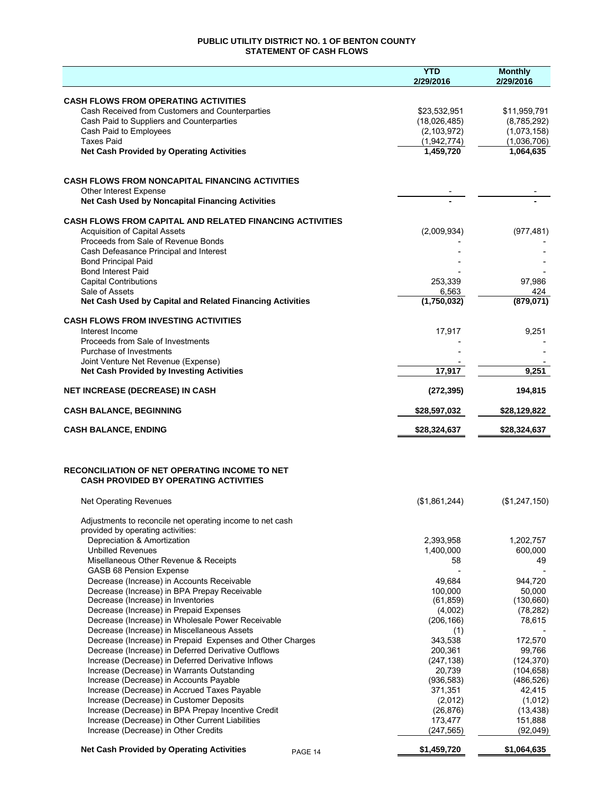## **PUBLIC UTILITY DISTRICT NO. 1 OF BENTON COUNTY STATEMENT OF CASH FLOWS**

|                                                                                                          | <b>YTD</b><br>2/29/2016 | <b>Monthly</b><br>2/29/2016 |
|----------------------------------------------------------------------------------------------------------|-------------------------|-----------------------------|
| <b>CASH FLOWS FROM OPERATING ACTIVITIES</b>                                                              |                         |                             |
| Cash Received from Customers and Counterparties                                                          | \$23,532,951            | \$11,959,791                |
| Cash Paid to Suppliers and Counterparties                                                                | (18,026,485)            | (8,785,292)                 |
| Cash Paid to Employees                                                                                   | (2, 103, 972)           | (1,073,158)                 |
| <b>Taxes Paid</b>                                                                                        | (1,942,774)             | (1,036,706)                 |
| <b>Net Cash Provided by Operating Activities</b>                                                         | 1,459,720               | 1,064,635                   |
| <b>CASH FLOWS FROM NONCAPITAL FINANCING ACTIVITIES</b>                                                   |                         |                             |
| <b>Other Interest Expense</b>                                                                            |                         |                             |
| Net Cash Used by Noncapital Financing Activities                                                         |                         |                             |
| <b>CASH FLOWS FROM CAPITAL AND RELATED FINANCING ACTIVITIES</b>                                          |                         |                             |
| <b>Acquisition of Capital Assets</b>                                                                     | (2,009,934)             | (977, 481)                  |
| Proceeds from Sale of Revenue Bonds                                                                      |                         |                             |
| Cash Defeasance Principal and Interest<br><b>Bond Principal Paid</b>                                     |                         |                             |
| <b>Bond Interest Paid</b>                                                                                |                         |                             |
| <b>Capital Contributions</b>                                                                             | 253,339                 | 97,986                      |
| Sale of Assets                                                                                           | 6,563                   | 424                         |
| Net Cash Used by Capital and Related Financing Activities                                                | (1,750,032)             | (879, 071)                  |
| <b>CASH FLOWS FROM INVESTING ACTIVITIES</b>                                                              |                         |                             |
| Interest Income<br>Proceeds from Sale of Investments                                                     | 17,917                  | 9,251                       |
| Purchase of Investments                                                                                  |                         |                             |
| Joint Venture Net Revenue (Expense)                                                                      |                         |                             |
| <b>Net Cash Provided by Investing Activities</b>                                                         | 17,917                  | 9,251                       |
| <b>NET INCREASE (DECREASE) IN CASH</b>                                                                   | (272, 395)              | 194,815                     |
| <b>CASH BALANCE, BEGINNING</b>                                                                           | \$28,597,032            | \$28,129,822                |
| <b>CASH BALANCE, ENDING</b>                                                                              | \$28,324,637            | \$28,324,637                |
| <b>RECONCILIATION OF NET OPERATING INCOME TO NET</b><br><b>CASH PROVIDED BY OPERATING ACTIVITIES</b>     |                         |                             |
| Net Operating Revenues                                                                                   | (\$1,861,244)           | (\$1,247,150)               |
| Adjustments to reconcile net operating income to net cash                                                |                         |                             |
| provided by operating activities:                                                                        |                         |                             |
| Depreciation & Amortization                                                                              | 2,393,958               | 1,202,757                   |
| <b>Unbilled Revenues</b>                                                                                 | 1,400,000               | 600,000                     |
| Misellaneous Other Revenue & Receipts<br>GASB 68 Pension Expense                                         | 58                      | 49                          |
| Decrease (Increase) in Accounts Receivable                                                               | 49,684                  | 944,720                     |
| Decrease (Increase) in BPA Prepay Receivable                                                             | 100,000                 | 50,000                      |
| Decrease (Increase) in Inventories                                                                       | (61, 859)               | (130, 660)                  |
| Decrease (Increase) in Prepaid Expenses                                                                  | (4,002)                 | (78, 282)                   |
| Decrease (Increase) in Wholesale Power Receivable                                                        | (206, 166)              | 78,615                      |
| Decrease (Increase) in Miscellaneous Assets<br>Decrease (Increase) in Prepaid Expenses and Other Charges | (1)<br>343,538          | 172,570                     |
| Decrease (Increase) in Deferred Derivative Outflows                                                      | 200,361                 | 99,766                      |
| Increase (Decrease) in Deferred Derivative Inflows                                                       | (247, 138)              | (124, 370)                  |
| Increase (Decrease) in Warrants Outstanding                                                              | 20,739                  | (104, 658)                  |
| Increase (Decrease) in Accounts Payable                                                                  | (936, 583)              | (486, 526)                  |
| Increase (Decrease) in Accrued Taxes Payable                                                             | 371,351                 | 42,415                      |
| Increase (Decrease) in Customer Deposits<br>Increase (Decrease) in BPA Prepay Incentive Credit           | (2,012)<br>(26, 876)    | (1,012)<br>(13, 438)        |
| Increase (Decrease) in Other Current Liabilities                                                         | 173,477                 | 151,888                     |
| Increase (Decrease) in Other Credits                                                                     | (247, 565)              | (92,049)                    |
| <b>Net Cash Provided by Operating Activities</b><br>PAGE 14                                              | \$1,459,720             | \$1,064,635                 |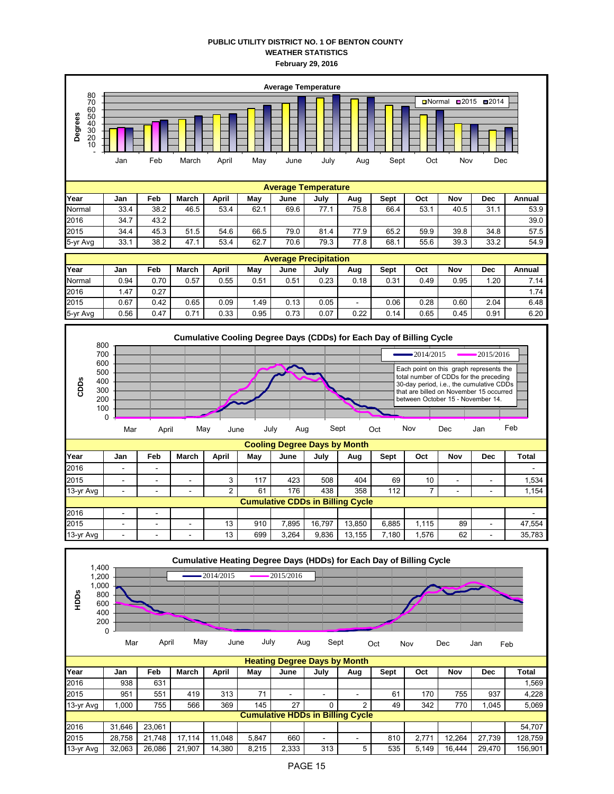## **PUBLIC UTILITY DISTRICT NO. 1 OF BENTON COUNTY WEATHER STATISTICS February 29, 2016**







13-yr Avg | - | - | - | 13 | 699 | 3,264 | 9,836 | 13,155 | 7,180 | 1,576 | 62 | - | 35,783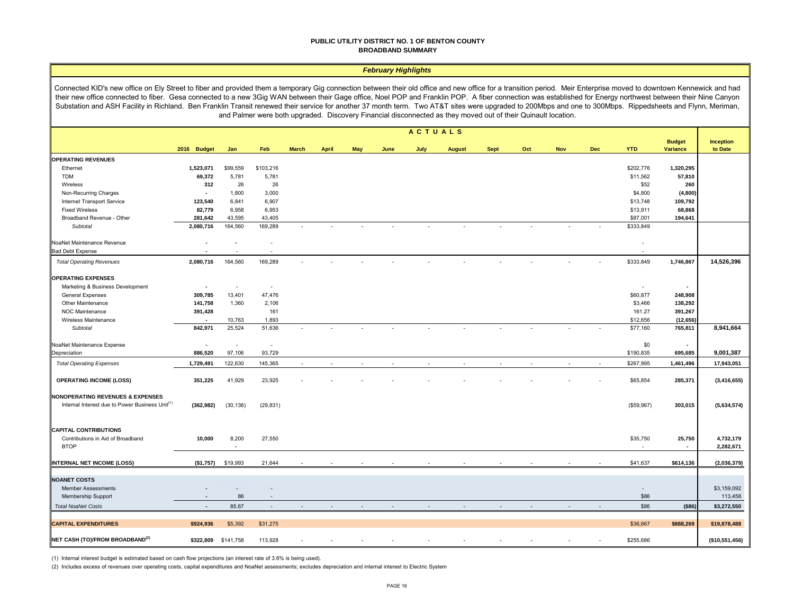#### **PUBLIC UTILITY DISTRICT NO. 1 OF BENTON COUNTY BROADBAND SUMMARY**

#### *February Highlights*

Connected KID's new office on Ely Street to fiber and provided them a temporary Gig connection between their old office and new office for a transition period. Meir Enterprise moved to downtown Kennewick and had their new office connected to fiber. Gesa connected to a new 3Gig WAN between their Gage office, Noel POP and Franklin POP. A fiber connection was established for Energy northwest between their Nine Canyon Substation and ASH Facility in Richland. Ben Franklin Transit renewed their service for another 37 month term. Two AT&T sites were upgraded to 200Mbps and one to 300Mbps. Rippedsheets and Flynn, Meriman, and Palmer were both upgraded. Discovery Financial disconnected as they moved out of their Quinault location.

|                                                             | <b>ACTUALS</b>           |                          |                          |                          |              |            |      |        |               |             |                |                |            |                          |                                  |                        |
|-------------------------------------------------------------|--------------------------|--------------------------|--------------------------|--------------------------|--------------|------------|------|--------|---------------|-------------|----------------|----------------|------------|--------------------------|----------------------------------|------------------------|
|                                                             | 2016 Budget              | Jan                      | Feb                      | <b>March</b>             | <b>April</b> | <b>May</b> | June | July   | <b>August</b> | <b>Sept</b> | Oct            | <b>Nov</b>     | <b>Dec</b> | <b>YTD</b>               | <b>Budget</b><br><b>Variance</b> | Inception<br>to Date   |
| <b>OPERATING REVENUES</b>                                   |                          |                          |                          |                          |              |            |      |        |               |             |                |                |            |                          |                                  |                        |
| Ethernet                                                    | 1,523,071                | \$99,559                 | \$103,216                |                          |              |            |      |        |               |             |                |                |            | \$202,776                | 1,320,295                        |                        |
| <b>TDM</b>                                                  | 69,372                   | 5,781                    | 5,781                    |                          |              |            |      |        |               |             |                |                |            | \$11,562                 | 57,810                           |                        |
| Wireless                                                    | 312                      | 26                       | 26                       |                          |              |            |      |        |               |             |                |                |            | \$52                     | 260                              |                        |
| Non-Recurring Charges                                       | $\sim$                   | 1,800                    | 3,000                    |                          |              |            |      |        |               |             |                |                |            | \$4,800                  | (4,800)                          |                        |
| Internet Transport Service                                  | 123,540                  | 6,841                    | 6,907                    |                          |              |            |      |        |               |             |                |                |            | \$13,748                 | 109,792                          |                        |
| <b>Fixed Wireless</b>                                       | 82,779                   | 6,958                    | 6,953                    |                          |              |            |      |        |               |             |                |                |            | \$13,911                 | 68,868                           |                        |
| Broadband Revenue - Other                                   | 281,642                  | 43,595                   | 43,405                   |                          |              |            |      |        |               |             |                |                |            | \$87,001                 | 194,641                          |                        |
| Subtotal                                                    | 2,080,716                | 164,560                  | 169,289                  |                          |              |            |      |        |               |             |                |                |            | \$333,849                |                                  |                        |
| NoaNet Maintenance Revenue                                  |                          |                          |                          |                          |              |            |      |        |               |             |                |                |            |                          |                                  |                        |
| <b>Bad Debt Expense</b>                                     |                          |                          |                          |                          |              |            |      |        |               |             |                |                |            |                          |                                  |                        |
| <b>Total Operating Revenues</b>                             | 2,080,716                | 164,560                  | 169,289                  |                          |              |            |      |        |               |             |                |                |            | \$333,849                | 1,746,867                        | 14,526,396             |
| <b>OPERATING EXPENSES</b>                                   |                          |                          |                          |                          |              |            |      |        |               |             |                |                |            |                          |                                  |                        |
| Marketing & Business Development                            | $\sim$                   | $\overline{\phantom{a}}$ | $\overline{\phantom{a}}$ |                          |              |            |      |        |               |             |                |                |            | $\overline{\phantom{a}}$ | $\sim$                           |                        |
| <b>General Expenses</b>                                     | 309,785                  | 13,401                   | 47,476                   |                          |              |            |      |        |               |             |                |                |            | \$60,877                 | 248,908                          |                        |
| Other Maintenance                                           | 141,758                  | 1,360                    | 2,106                    |                          |              |            |      |        |               |             |                |                |            | \$3,466                  | 138,292                          |                        |
| NOC Maintenance                                             | 391,428                  |                          | 161                      |                          |              |            |      |        |               |             |                |                |            | 161.27                   | 391,267                          |                        |
| Wireless Maintenance                                        | $\blacksquare$           | 10,763                   | 1,893                    |                          |              |            |      |        |               |             |                |                |            | \$12,656                 | (12, 656)                        |                        |
| Subtotal                                                    | 842,971                  | 25,524                   | 51,636                   |                          |              |            |      |        | ÷             |             |                |                |            | \$77,160                 | 765,811                          | 8,941,664              |
| NoaNet Maintenance Expense                                  | $\bullet$                | $\sim$                   | $\sim$                   |                          |              |            |      |        |               |             |                |                |            | \$0                      | $\sim$                           |                        |
| Depreciation                                                | 886,520                  | 97,106                   | 93,729                   |                          |              |            |      |        |               |             |                |                |            | \$190,835                | 695,685                          | 9,001,387              |
| <b>Total Operating Expenses</b>                             | 1,729,491                | 122,630                  | 145,365                  | $\overline{\phantom{a}}$ | $\sim$       |            |      | $\sim$ | $\sim$        | $\sim$      | $\overline{a}$ | $\overline{a}$ | $\sim$     | \$267,995                | 1,461,496                        | 17,943,051             |
| <b>OPERATING INCOME (LOSS)</b>                              | 351,225                  | 41,929                   | 23,925                   |                          |              |            |      |        |               |             |                |                |            | \$65,854                 | 285,371                          | (3, 416, 655)          |
| <b>NONOPERATING REVENUES &amp; EXPENSES</b>                 |                          |                          |                          |                          |              |            |      |        |               |             |                |                |            |                          |                                  |                        |
| Internal Interest due to Power Business Unit <sup>(1)</sup> | (362, 982)               | (30, 136)                | (29, 831)                |                          |              |            |      |        |               |             |                |                |            | (\$59,967)               | 303,015                          | (5,634,574)            |
| <b>CAPITAL CONTRIBUTIONS</b>                                |                          |                          |                          |                          |              |            |      |        |               |             |                |                |            |                          |                                  |                        |
| Contributions in Aid of Broadband<br><b>BTOP</b>            | 10,000                   | 8,200<br>$\sim$          | 27,550                   |                          |              |            |      |        |               |             |                |                |            | \$35,750<br>٠            | 25,750<br>$\sim$                 | 4,732,179<br>2,282,671 |
| <b>INTERNAL NET INCOME (LOSS)</b>                           | (\$1,757)                | \$19,993                 | 21,644                   |                          |              |            |      |        |               |             |                |                |            | \$41,637                 | \$614,136                        | (2,036,379)            |
|                                                             |                          |                          |                          |                          |              |            |      |        |               |             |                |                |            |                          |                                  |                        |
| <b>NOANET COSTS</b><br><b>Member Assessments</b>            | $\overline{\phantom{a}}$ | ۰.                       |                          |                          |              |            |      |        |               |             |                |                |            | $\overline{\phantom{a}}$ |                                  | \$3,159,092            |
| Membership Support                                          | $\blacksquare$           | 86                       |                          |                          |              |            |      |        |               |             |                |                |            | \$86                     |                                  | 113,458                |
| <b>Total NoaNet Costs</b>                                   | $\blacksquare$           | 85.67                    |                          |                          |              |            |      |        |               |             |                |                |            | \$86                     | ( \$86)                          | \$3,272,550            |
| <b>CAPITAL EXPENDITURES</b>                                 | \$924,936                | \$5,392                  | \$31,275                 |                          |              |            |      |        |               |             |                |                |            | \$36,667                 | \$888,269                        | \$19,878,488           |
| NET CASH (TO)/FROM BROADBAND <sup>(2)</sup>                 | \$322,809                | \$141,758                | 113,928                  |                          |              |            |      |        |               |             |                |                |            | \$255,686                |                                  | (\$10,551,456)         |

(1) Internal interest budget is estimated based on cash flow projections (an interest rate of 3.6% is being used).

(2) Includes excess of revenues over operating costs, capital expenditures and NoaNet assessments; excludes depreciation and internal interest to Electric System